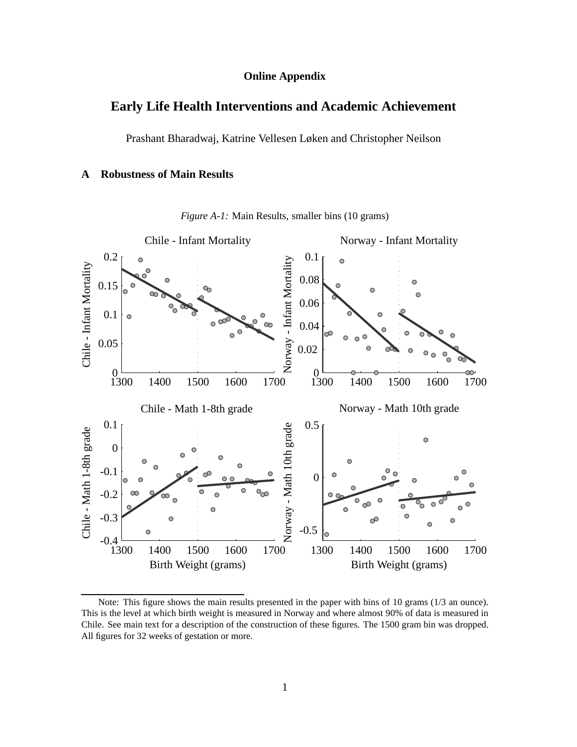## **Online Appendix**

# **Early Life Health Interventions and Academic Achievement**

Prashant Bharadwaj, Katrine Vellesen Løken and Christopher Neilson

## **A Robustness of Main Results**



*Figure A-1:* Main Results, smaller bins (10 grams)

Note: This figure shows the main results presented in the paper with bins of 10 grams (1/3 an ounce). This is the level at which birth weight is measured in Norway and where almost 90% of data is measured in Chile. See main text for a description of the construction of these figures. The 1500 gram bin was dropped. All figures for 32 weeks of gestation or more.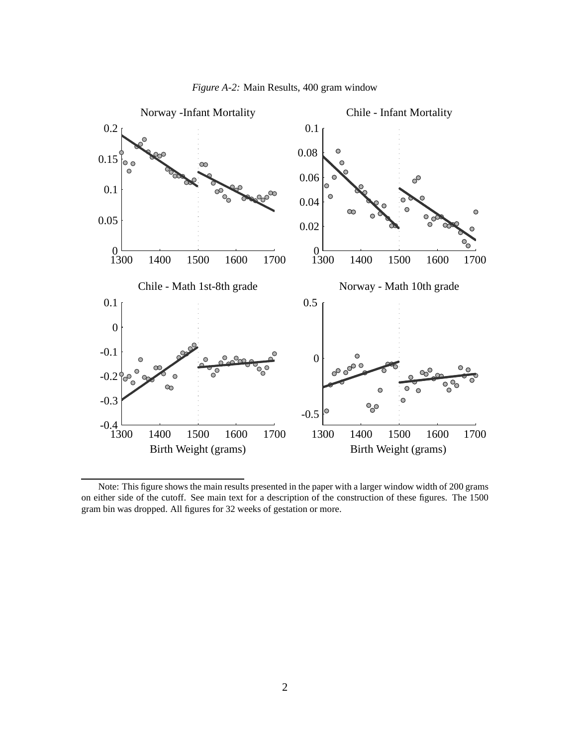



Note: This figure shows the main results presented in the paper with a larger window width of 200 grams on either side of the cutoff. See main text for a description of the construction of these figures. The 1500 gram bin was dropped. All figures for 32 weeks of gestation or more.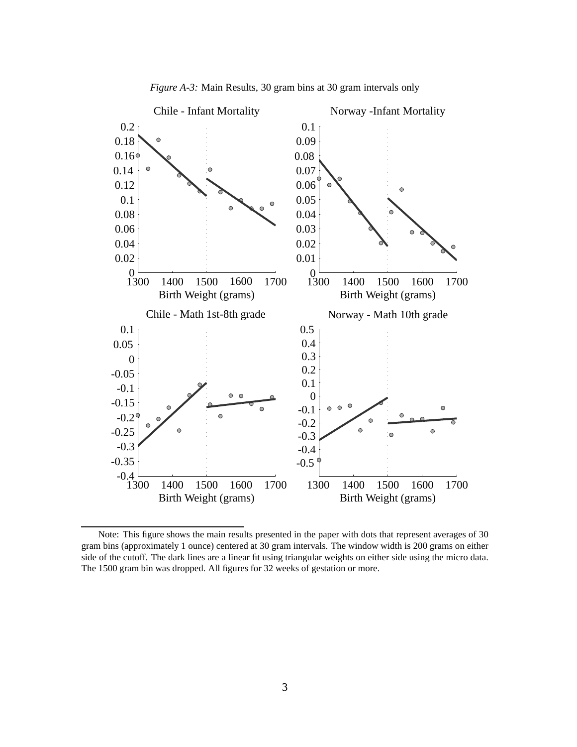

*Figure A-3:* Main Results, 30 gram bins at 30 gram intervals only

Note: This figure shows the main results presented in the paper with dots that represent averages of 30 gram bins (approximately 1 ounce) centered at 30 gram intervals. The window width is 200 grams on either side of the cutoff. The dark lines are a linear fit using triangular weights on either side using the micro data. The 1500 gram bin was dropped. All figures for 32 weeks of gestation or more.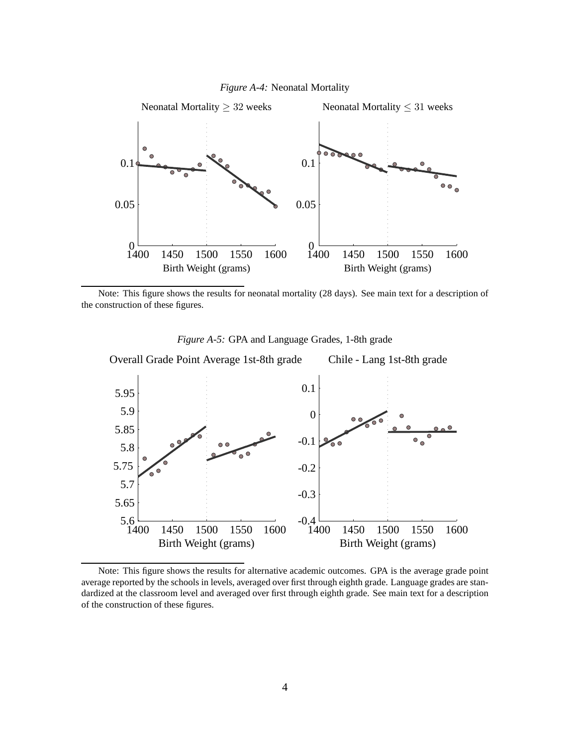



Note: This figure shows the results for neonatal mortality (28 days). See main text for a description of the construction of these figures.



*Figure A-5:* GPA and Language Grades, 1-8th grade

Note: This figure shows the results for alternative academic outcomes. GPA is the average grade point average reported by the schools in levels, averaged over first through eighth grade. Language grades are standardized at the classroom level and averaged over first through eighth grade. See main text for a description of the construction of these figures.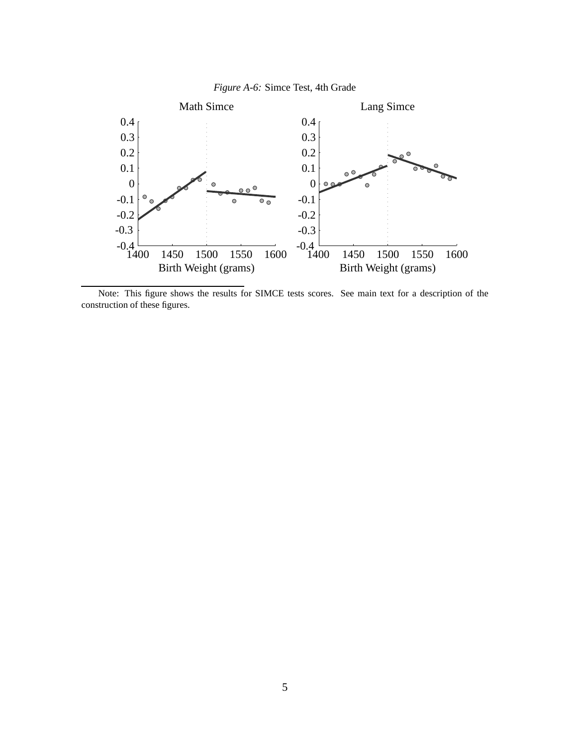



Note: This figure shows the results for SIMCE tests scores. See main text for a description of the construction of these figures.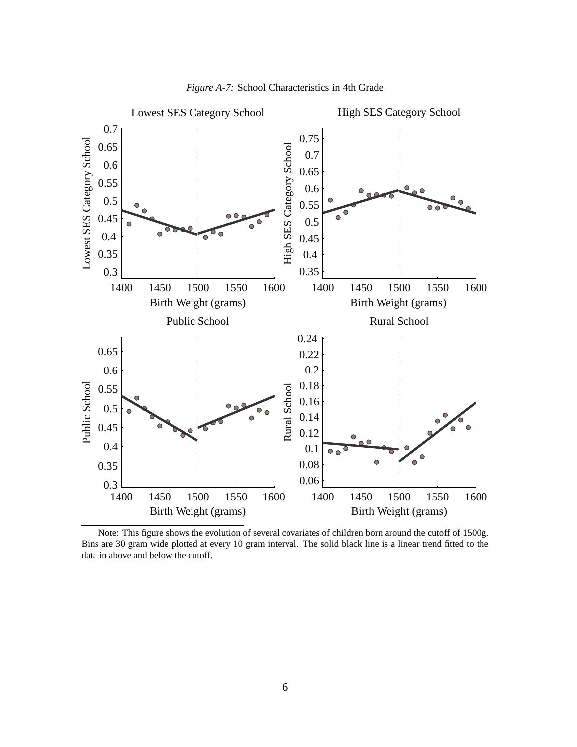

*Figure A-7:* School Characteristics in 4th Grade

Note: This figure shows the evolution of several covariates of children born around the cutoff of 1500g. Bins are 30 gram wide plotted at every 10 gram interval. The solid black line is a linear trend fitted to the data in above and below the cutoff.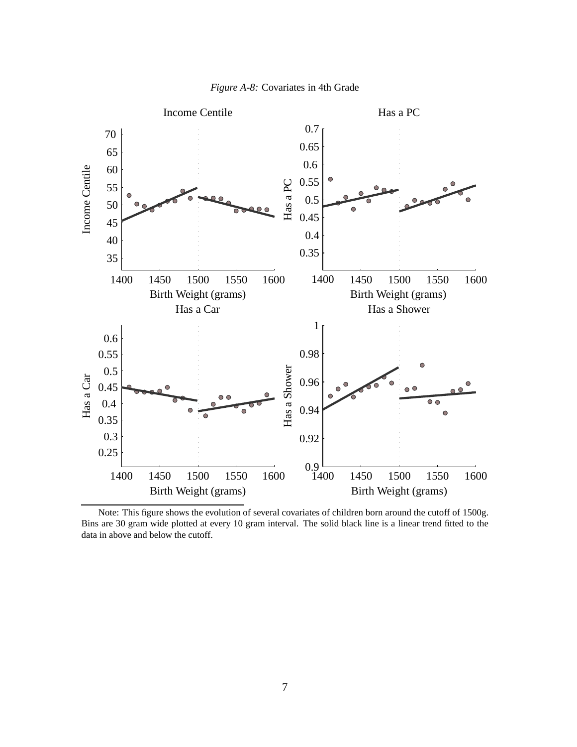



Note: This figure shows the evolution of several covariates of children born around the cutoff of 1500g. Bins are 30 gram wide plotted at every 10 gram interval. The solid black line is a linear trend fitted to the data in above and below the cutoff.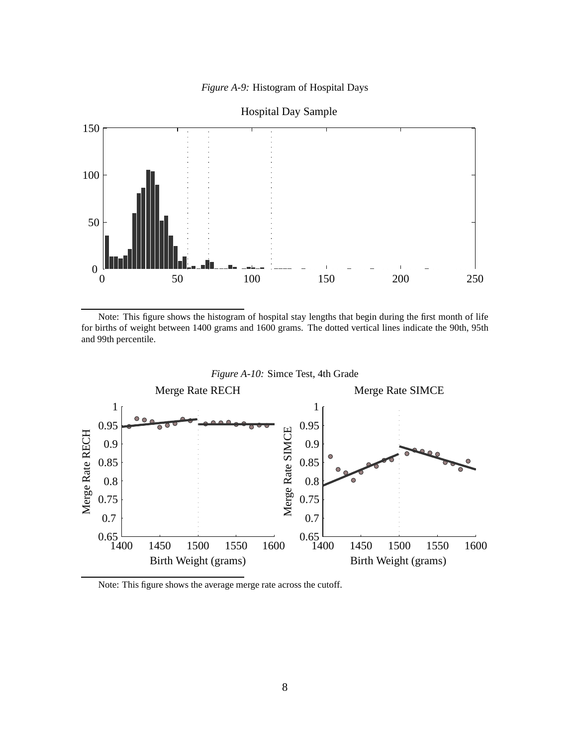### *Figure A-9:* Histogram of Hospital Days



Note: This figure shows the histogram of hospital stay lengths that begin during the first month of life for births of weight between 1400 grams and 1600 grams. The dotted vertical lines indicate the 90th, 95th and 99th percentile.



Note: This figure shows the average merge rate across the cutoff.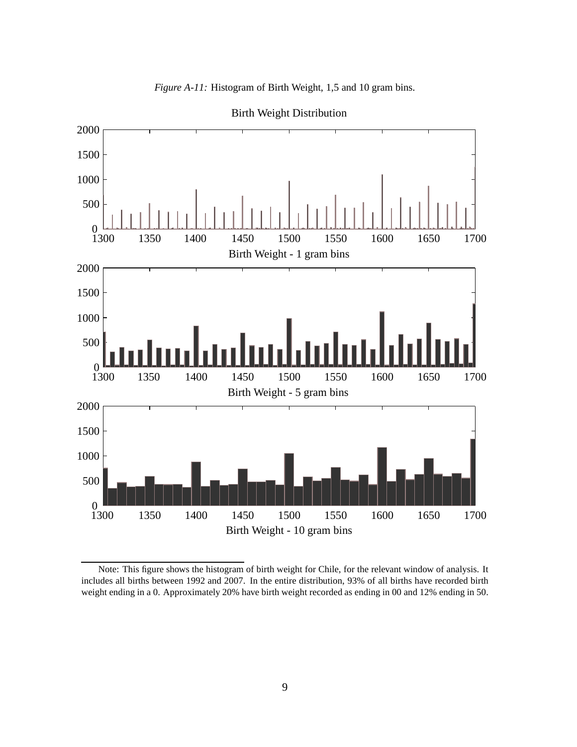



Birth Weight Distribution

Note: This figure shows the histogram of birth weight for Chile, for the relevant window of analysis. It includes all births between 1992 and 2007. In the entire distribution, 93% of all births have recorded birth weight ending in a 0. Approximately 20% have birth weight recorded as ending in 00 and 12% ending in 50.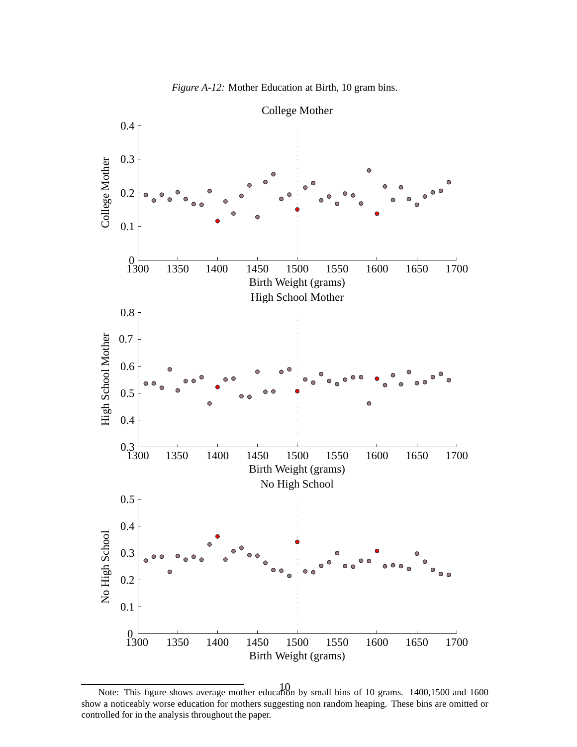

Note: This figure shows average mother education by small bins of 10 grams. 1400,1500 and 1600 show a noticeably worse education for mothers suggesting non random heaping. These bins are omitted or controlled for in the analysis throughout the paper.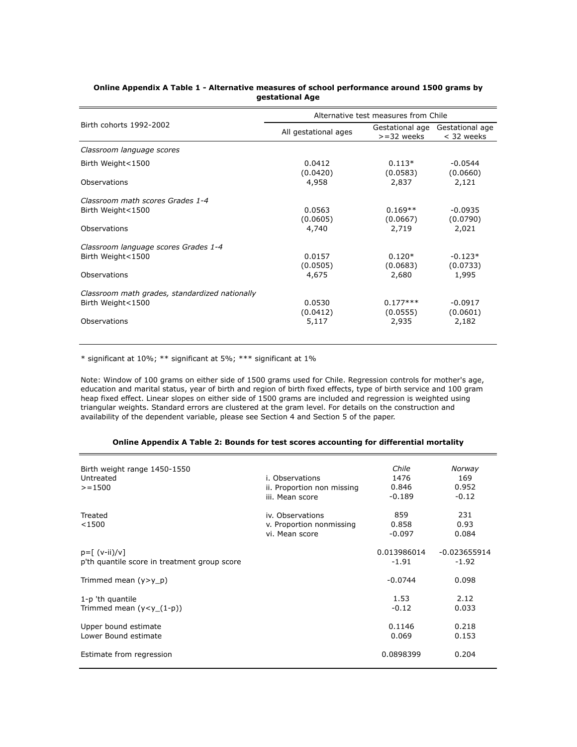|                                                |                      | Alternative test measures from Chile |                               |
|------------------------------------------------|----------------------|--------------------------------------|-------------------------------|
| Birth cohorts 1992-2002                        | All gestational ages | Gestational age<br>$>=$ 32 weeks     | Gestational age<br>< 32 weeks |
| Classroom language scores                      |                      |                                      |                               |
| Birth Weight<1500                              | 0.0412<br>(0.0420)   | $0.113*$<br>(0.0583)                 | $-0.0544$<br>(0.0660)         |
| Observations                                   | 4,958                | 2,837                                | 2,121                         |
| Classroom math scores Grades 1-4               |                      |                                      |                               |
| Birth Weight<1500                              | 0.0563<br>(0.0605)   | $0.169**$<br>(0.0667)                | $-0.0935$<br>(0.0790)         |
| Observations                                   | 4,740                | 2,719                                | 2,021                         |
| Classroom language scores Grades 1-4           |                      |                                      |                               |
| Birth Weight<1500                              | 0.0157<br>(0.0505)   | $0.120*$<br>(0.0683)                 | $-0.123*$<br>(0.0733)         |
| Observations                                   | 4,675                | 2,680                                | 1,995                         |
| Classroom math grades, standardized nationally |                      |                                      |                               |
| Birth Weight<1500                              | 0.0530               | $0.177***$                           | $-0.0917$                     |
| Observations                                   | (0.0412)<br>5,117    | (0.0555)<br>2,935                    | (0.0601)<br>2,182             |
|                                                |                      |                                      |                               |

### **Online Appendix A Table 1 - Alternative measures of school performance around 1500 grams by gestational Age**

\* significant at 10%; \*\* significant at 5%; \*\*\* significant at 1%

Note: Window of 100 grams on either side of 1500 grams used for Chile. Regression controls for mother's age, education and marital status, year of birth and region of birth fixed effects, type of birth service and 100 gram heap fixed effect. Linear slopes on either side of 1500 grams are included and regression is weighted using triangular weights. Standard errors are clustered at the gram level. For details on the construction and availability of the dependent variable, please see Section 4 and Section 5 of the paper.

| Birth weight range 1450-1550<br>Untreated<br>$> = 1500$             | i. Observations<br>ii. Proportion non missing<br>iii. Mean score | Chile<br>1476<br>0.846<br>$-0.189$ | Norway<br>169<br>0.952<br>$-0.12$ |
|---------------------------------------------------------------------|------------------------------------------------------------------|------------------------------------|-----------------------------------|
| Treated<br>$<$ 1500                                                 | iv. Observations<br>v. Proportion nonmissing<br>vi. Mean score   | 859<br>0.858<br>$-0.097$           | 231<br>0.93<br>0.084              |
| $p = [ (v - ii)/v]$<br>p'th quantile score in treatment group score |                                                                  | 0.013986014<br>$-1.91$             | $-0.023655914$<br>$-1.92$         |
| Trimmed mean $(y>y_p)$                                              |                                                                  | $-0.0744$                          | 0.098                             |
| 1-p 'th quantile<br>Trimmed mean $(y < y (1-p))$                    |                                                                  | 1.53<br>$-0.12$                    | 2.12<br>0.033                     |
| Upper bound estimate<br>Lower Bound estimate                        |                                                                  | 0.1146<br>0.069                    | 0.218<br>0.153                    |
| Estimate from regression                                            |                                                                  | 0.0898399                          | 0.204                             |

### **Online Appendix A Table 2: Bounds for test scores accounting for differential mortality**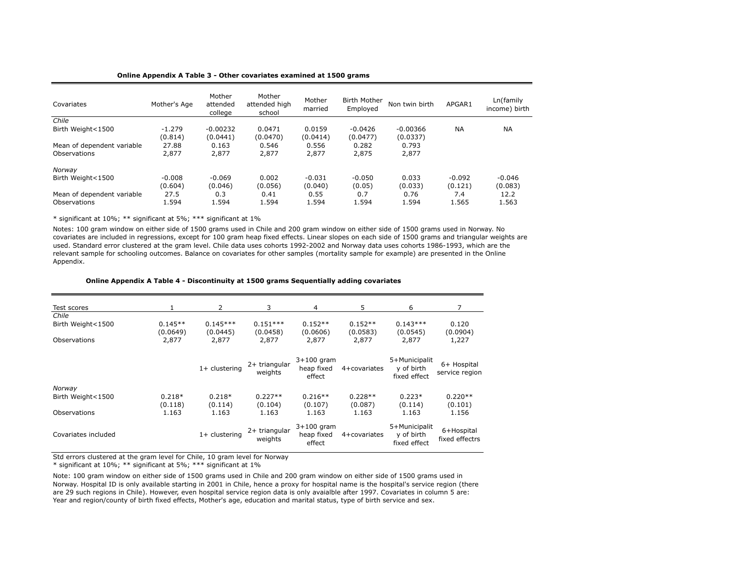#### **Online Appendix A Table 3 - Other covariates examined at 1500 grams**

| Covariates                 | Mother's Age | Mother<br>attended<br>college | Mother<br>attended high<br>school | Mother<br>married | <b>Birth Mother</b><br>Emploved | Non twin birth | APGAR1    | Ln(family<br>income) birth |
|----------------------------|--------------|-------------------------------|-----------------------------------|-------------------|---------------------------------|----------------|-----------|----------------------------|
| Chile                      |              |                               |                                   |                   |                                 |                |           |                            |
| Birth Weight<1500          | $-1.279$     | $-0.00232$                    | 0.0471                            | 0.0159            | $-0.0426$                       | $-0.00366$     | <b>NA</b> | <b>NA</b>                  |
|                            | (0.814)      | (0.0441)                      | (0.0470)                          | (0.0414)          | (0.0477)                        | (0.0337)       |           |                            |
| Mean of dependent variable | 27.88        | 0.163                         | 0.546                             | 0.556             | 0.282                           | 0.793          |           |                            |
| Observations               | 2,877        | 2,877                         | 2,877                             | 2,877             | 2,875                           | 2,877          |           |                            |
| Norway                     |              |                               |                                   |                   |                                 |                |           |                            |
| Birth Weight<1500          | $-0.008$     | $-0.069$                      | 0.002                             | $-0.031$          | $-0.050$                        | 0.033          | $-0.092$  | $-0.046$                   |
|                            | (0.604)      | (0.046)                       | (0.056)                           | (0.040)           | (0.05)                          | (0.033)        | (0.121)   | (0.083)                    |
| Mean of dependent variable | 27.5         | 0.3                           | 0.41                              | 0.55              | 0.7                             | 0.76           | 7.4       | 12.2                       |
| Observations               | 1.594        | 1.594                         | 1.594                             | 1.594             | 1.594                           | 1.594          | 1.565     | 1.563                      |

\* significant at 10%; \*\* significant at 5%; \*\*\* significant at 1%

Notes: 100 gram window on either side of 1500 grams used in Chile and 200 gram window on either side of 1500 grams used in Norway. No covariates are included in regressions, except for 100 gram heap fixed effects. Linear slopes on each side of 1500 grams and triangular weights are used. Standard error clustered at the gram level. Chile data uses cohorts 1992-2002 and Norway data uses cohorts 1986-1993, which are the relevant sample for schooling outcomes. Balance on covariates for other samples (mortality sample for example) are presented in the Online Appendix.

#### **Online Appendix A Table 4 - Discontinuity at 1500 grams Sequentially adding covariates**

| Test scores         |                       | 2                      | 3                        | $\overline{4}$                       | 5                     | 6                                           | 7                             |
|---------------------|-----------------------|------------------------|--------------------------|--------------------------------------|-----------------------|---------------------------------------------|-------------------------------|
| Chile               |                       |                        |                          |                                      |                       |                                             |                               |
| Birth Weight<1500   | $0.145**$<br>(0.0649) | $0.145***$<br>(0.0445) | $0.151***$<br>(0.0458)   | $0.152**$<br>(0.0606)                | $0.152**$<br>(0.0583) | $0.143***$<br>(0.0545)                      | 0.120<br>(0.0904)             |
| Observations        | 2,877                 | 2,877                  | 2,877                    | 2,877                                | 2,877                 | 2,877                                       | 1,227                         |
|                     |                       | 1+ clustering          | 2+ triangular<br>weights | $3+100$ gram<br>heap fixed<br>effect | 4+covariates          | 5+Municipalit<br>y of birth<br>fixed effect | 6+ Hospital<br>service region |
| Norway              |                       |                        |                          |                                      |                       |                                             |                               |
| Birth Weight<1500   | $0.218*$<br>(0.118)   | $0.218*$<br>(0.114)    | $0.227**$<br>(0.104)     | $0.216**$<br>(0.107)                 | $0.228**$<br>(0.087)  | $0.223*$<br>(0.114)                         | $0.220**$<br>(0.101)          |
| Observations        | 1.163                 | 1.163                  | 1.163                    | 1.163                                | 1.163                 | 1.163                                       | 1.156                         |
| Covariates included |                       | 1+ clustering          | 2+ triangular<br>weights | $3+100$ gram<br>heap fixed<br>effect | 4+covariates          | 5+Municipalit<br>y of birth<br>fixed effect | 6+Hospital<br>fixed effectrs  |

Std errors clustered at the gram level for Chile, 10 gram level for Norway

\* significant at 10%; \*\* significant at 5%; \*\*\* significant at 1%

Note: 100 gram window on either side of 1500 grams used in Chile and 200 gram window on either side of 1500 grams used in Norway. Hospital ID is only available starting in 2001 in Chile, hence a proxy for hospital name is the hospital's service region (there are 29 such regions in Chile). However, even hospital service region data is only avaialble after 1997. Covariates in column 5 are: Year and region/county of birth fixed effects, Mother's age, education and marital status, type of birth service and sex.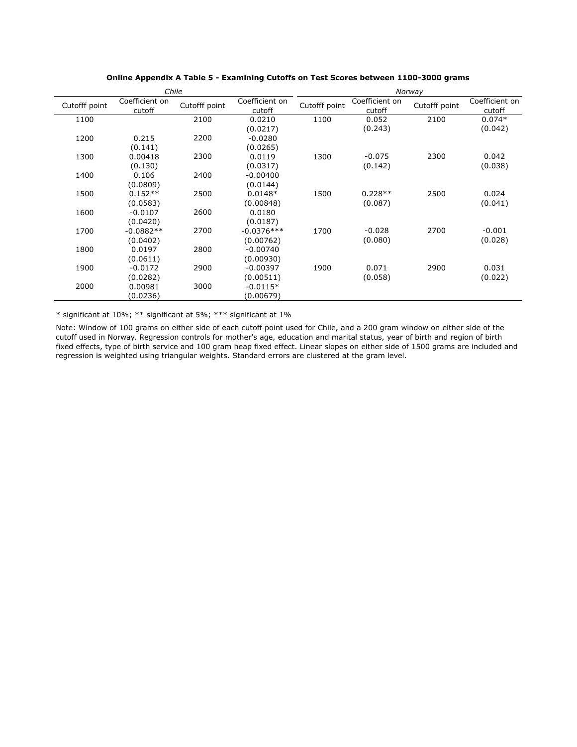|               |                          | Chile         |                          |               |                          | Norway        |                          |
|---------------|--------------------------|---------------|--------------------------|---------------|--------------------------|---------------|--------------------------|
| Cutofff point | Coefficient on<br>cutoff | Cutofff point | Coefficient on<br>cutoff | Cutofff point | Coefficient on<br>cutoff | Cutofff point | Coefficient on<br>cutoff |
| 1100          |                          | 2100          | 0.0210                   | 1100          | 0.052                    | 2100          | $0.074*$                 |
|               |                          |               | (0.0217)                 |               | (0.243)                  |               | (0.042)                  |
| 1200          | 0.215                    | 2200          | $-0.0280$                |               |                          |               |                          |
|               | (0.141)                  |               | (0.0265)                 |               |                          |               |                          |
| 1300          | 0.00418                  | 2300          | 0.0119                   | 1300          | $-0.075$                 | 2300          | 0.042                    |
|               | (0.130)                  |               | (0.0317)                 |               | (0.142)                  |               | (0.038)                  |
| 1400          | 0.106                    | 2400          | $-0.00400$               |               |                          |               |                          |
|               | (0.0809)                 |               | (0.0144)                 |               |                          |               |                          |
| 1500          | $0.152**$                | 2500          | $0.0148*$                | 1500          | $0.228**$                | 2500          | 0.024                    |
|               | (0.0583)                 |               | (0.00848)                |               | (0.087)                  |               | (0.041)                  |
| 1600          | $-0.0107$                | 2600          | 0.0180                   |               |                          |               |                          |
|               | (0.0420)                 |               | (0.0187)                 |               |                          |               |                          |
| 1700          | $-0.0882**$              | 2700          | $-0.0376***$             | 1700          | $-0.028$                 | 2700          | $-0.001$                 |
|               | (0.0402)                 |               | (0.00762)                |               | (0.080)                  |               | (0.028)                  |
| 1800          | 0.0197                   | 2800          | $-0.00740$               |               |                          |               |                          |
|               | (0.0611)                 |               | (0.00930)                |               |                          |               |                          |
| 1900          | $-0.0172$                | 2900          | $-0.00397$               | 1900          | 0.071                    | 2900          | 0.031                    |
|               | (0.0282)                 |               | (0.00511)                |               | (0.058)                  |               | (0.022)                  |
| 2000          | 0.00981                  | 3000          | $-0.0115*$               |               |                          |               |                          |
|               | (0.0236)                 |               | (0.00679)                |               |                          |               |                          |

## **Online Appendix A Table 5 - Examining Cutoffs on Test Scores between 1100-3000 grams**

\* significant at 10%; \*\* significant at 5%; \*\*\* significant at 1%

Note: Window of 100 grams on either side of each cutoff point used for Chile, and a 200 gram window on either side of the cutoff used in Norway. Regression controls for mother's age, education and marital status, year of birth and region of birth fixed effects, type of birth service and 100 gram heap fixed effect. Linear slopes on either side of 1500 grams are included and regression is weighted using triangular weights. Standard errors are clustered at the gram level.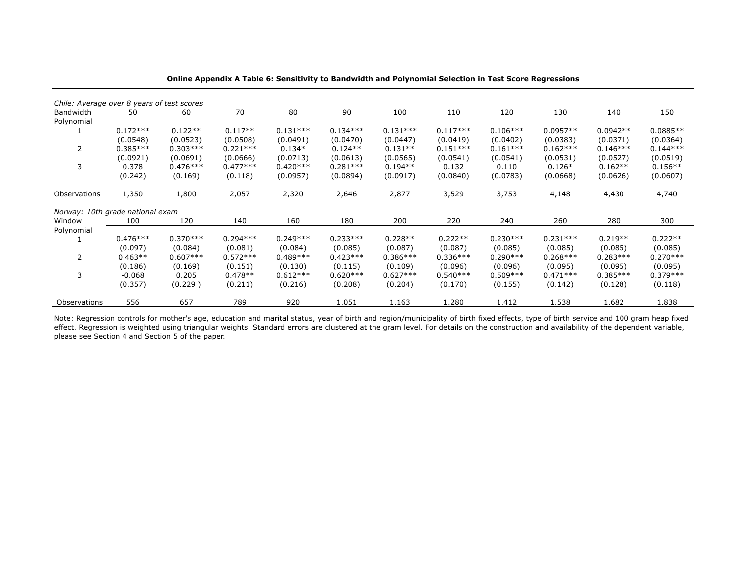| Chile: Average over 8 years of test scores |            |            |            |            |            |            |            |            |            |            |            |
|--------------------------------------------|------------|------------|------------|------------|------------|------------|------------|------------|------------|------------|------------|
| Bandwidth                                  | 50         | 60         | 70         | 80         | 90         | 100        | 110        | 120        | 130        | 140        | 150        |
| Polynomial                                 |            |            |            |            |            |            |            |            |            |            |            |
|                                            | $0.172***$ | $0.122**$  | $0.117**$  | $0.131***$ | $0.134***$ | $0.131***$ | $0.117***$ | $0.106***$ | $0.0957**$ | $0.0942**$ | $0.0885**$ |
|                                            | (0.0548)   | (0.0523)   | (0.0508)   | (0.0491)   | (0.0470)   | (0.0447)   | (0.0419)   | (0.0402)   | (0.0383)   | (0.0371)   | (0.0364)   |
| 2                                          | $0.385***$ | $0.303***$ | $0.221***$ | $0.134*$   | $0.124**$  | $0.131**$  | $0.151***$ | $0.161***$ | $0.162***$ | $0.146***$ | $0.144***$ |
|                                            | (0.0921)   | (0.0691)   | (0.0666)   | (0.0713)   | (0.0613)   | (0.0565)   | (0.0541)   | (0.0541)   | (0.0531)   | (0.0527)   | (0.0519)   |
| 3                                          | 0.378      | $0.476***$ | $0.477***$ | $0.420***$ | $0.281***$ | $0.194**$  | 0.132      | 0.110      | $0.126*$   | $0.162**$  | $0.156**$  |
|                                            | (0.242)    | (0.169)    | (0.118)    | (0.0957)   | (0.0894)   | (0.0917)   | (0.0840)   | (0.0783)   | (0.0668)   | (0.0626)   | (0.0607)   |
| Observations                               | 1,350      | 1,800      | 2,057      | 2,320      | 2,646      | 2,877      | 3,529      | 3,753      | 4,148      | 4,430      | 4,740      |
| Norway: 10th grade national exam           |            |            |            |            |            |            |            |            |            |            |            |
| Window                                     | 100        | 120        | 140        | 160        | 180        | 200        | 220        | 240        | 260        | 280        | 300        |
| Polynomial                                 |            |            |            |            |            |            |            |            |            |            |            |
|                                            | $0.476***$ | $0.370***$ | $0.294***$ | $0.249***$ | $0.233***$ | $0.228**$  | $0.222**$  | $0.230***$ | $0.231***$ | $0.219**$  | $0.222**$  |
|                                            | (0.097)    | (0.084)    | (0.081)    | (0.084)    | (0.085)    | (0.087)    | (0.087)    | (0.085)    | (0.085)    | (0.085)    | (0.085)    |
| 2                                          | $0.463**$  | $0.607***$ | $0.572***$ | $0.489***$ | $0.423***$ | $0.386***$ | $0.336***$ | $0.290***$ | $0.268***$ | $0.283***$ | $0.270***$ |
|                                            | (0.186)    | (0.169)    | (0.151)    | (0.130)    | (0.115)    | (0.109)    | (0.096)    | (0.096)    | (0.095)    | (0.095)    | (0.095)    |
| 3                                          | $-0.068$   | 0.205      | $0.478**$  | $0.612***$ | $0.620***$ | $0.627***$ | $0.540***$ | $0.509***$ | $0.471***$ | $0.385***$ | $0.379***$ |
|                                            | (0.357)    | (0.229)    | (0.211)    | (0.216)    | (0.208)    | (0.204)    | (0.170)    | (0.155)    | (0.142)    | (0.128)    | (0.118)    |
| Observations                               | 556        | 657        | 789        | 920        | 1.051      | 1.163      | 1.280      | 1.412      | 1.538      | 1.682      | 1.838      |

**Online Appendix A Table 6: Sensitivity to Bandwidth and Polynomial Selection in Test Score Regressions**

Note: Regression controls for mother's age, education and marital status, year of birth and region/municipality of birth fixed effects, type of birth service and 100 gram heap fixed effect. Regression is weighted using triangular weights. Standard errors are clustered at the gram level. For details on the construction and availability of the dependent variable, please see Section 4 and Section 5 of the paper.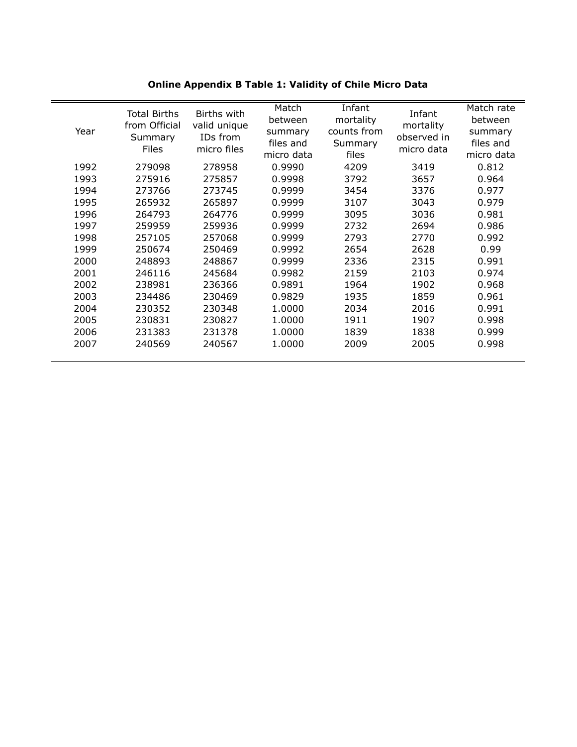| Year | <b>Total Births</b><br>from Official<br>Summary<br><b>Files</b> | Births with<br>valid unique<br>IDs from<br>micro files | Match<br>between<br>summary<br>files and<br>micro data | Infant<br>mortality<br>counts from<br>Summary<br>files | Infant<br>mortality<br>observed in<br>micro data | Match rate<br>between<br>summary<br>files and<br>micro data |
|------|-----------------------------------------------------------------|--------------------------------------------------------|--------------------------------------------------------|--------------------------------------------------------|--------------------------------------------------|-------------------------------------------------------------|
| 1992 | 279098                                                          | 278958                                                 | 0.9990                                                 | 4209                                                   | 3419                                             | 0.812                                                       |
| 1993 | 275916                                                          | 275857                                                 | 0.9998                                                 | 3792                                                   | 3657                                             | 0.964                                                       |
| 1994 | 273766                                                          | 273745                                                 | 0.9999                                                 | 3454                                                   | 3376                                             | 0.977                                                       |
| 1995 | 265932                                                          | 265897                                                 | 0.9999                                                 | 3107                                                   | 3043                                             | 0.979                                                       |
| 1996 | 264793                                                          | 264776                                                 | 0.9999                                                 | 3095                                                   | 3036                                             | 0.981                                                       |
| 1997 | 259959                                                          | 259936                                                 | 0.9999                                                 | 2732                                                   | 2694                                             | 0.986                                                       |
| 1998 | 257105                                                          | 257068                                                 | 0.9999                                                 | 2793                                                   | 2770                                             | 0.992                                                       |
| 1999 | 250674                                                          | 250469                                                 | 0.9992                                                 | 2654                                                   | 2628                                             | 0.99                                                        |
| 2000 | 248893                                                          | 248867                                                 | 0.9999                                                 | 2336                                                   | 2315                                             | 0.991                                                       |
| 2001 | 246116                                                          | 245684                                                 | 0.9982                                                 | 2159                                                   | 2103                                             | 0.974                                                       |
| 2002 | 238981                                                          | 236366                                                 | 0.9891                                                 | 1964                                                   | 1902                                             | 0.968                                                       |
| 2003 | 234486                                                          | 230469                                                 | 0.9829                                                 | 1935                                                   | 1859                                             | 0.961                                                       |
| 2004 | 230352                                                          | 230348                                                 | 1.0000                                                 | 2034                                                   | 2016                                             | 0.991                                                       |
| 2005 | 230831                                                          | 230827                                                 | 1.0000                                                 | 1911                                                   | 1907                                             | 0.998                                                       |
| 2006 | 231383                                                          | 231378                                                 | 1.0000                                                 | 1839                                                   | 1838                                             | 0.999                                                       |
| 2007 | 240569                                                          | 240567                                                 | 1.0000                                                 | 2009                                                   | 2005                                             | 0.998                                                       |
|      |                                                                 |                                                        |                                                        |                                                        |                                                  |                                                             |

# **Online Appendix B Table 1: Validity of Chile Micro Data**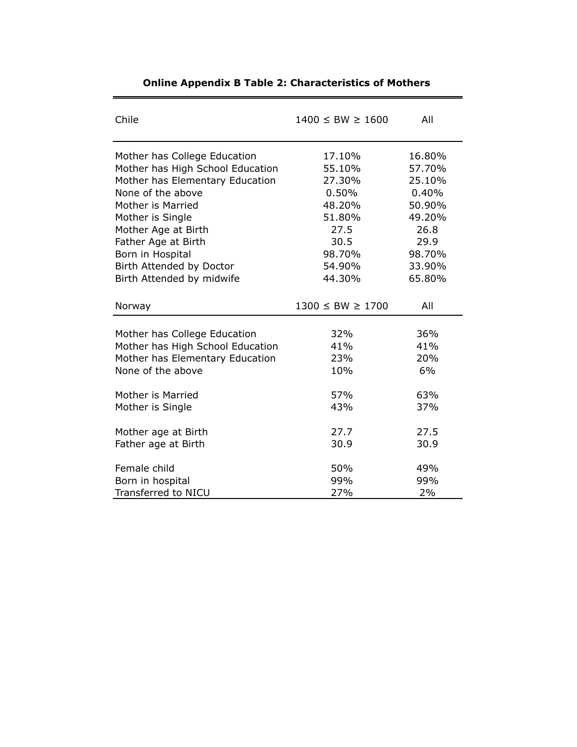| Chile                            | $1400 \le BW \ge 1600$ | All    |
|----------------------------------|------------------------|--------|
| Mother has College Education     | 17.10%                 | 16.80% |
| Mother has High School Education | 55.10%                 | 57.70% |
| Mother has Elementary Education  | 27.30%                 | 25.10% |
| None of the above                | 0.50%                  | 0.40%  |
| Mother is Married                | 48.20%                 | 50.90% |
| Mother is Single                 | 51.80%                 | 49.20% |
| Mother Age at Birth              | 27.5                   | 26.8   |
| Father Age at Birth              | 30.5                   | 29.9   |
| Born in Hospital                 | 98.70%                 | 98.70% |
| Birth Attended by Doctor         | 54.90%                 | 33.90% |
| Birth Attended by midwife        | 44.30%                 | 65.80% |
|                                  |                        |        |
| Norway                           | $1300 \le BW \ge 1700$ | All    |
| Mother has College Education     | 32%                    | 36%    |
| Mother has High School Education | 41%                    | 41%    |
| Mother has Elementary Education  | 23%                    | 20%    |
| None of the above                | 10%                    | 6%     |
|                                  |                        |        |
| Mother is Married                | 57%                    | 63%    |
| Mother is Single                 | 43%                    | 37%    |
| Mother age at Birth              | 27.7                   | 27.5   |
| Father age at Birth              | 30.9                   | 30.9   |
|                                  |                        |        |
| Female child                     | 50%                    | 49%    |
| Born in hospital                 | 99%                    | 99%    |
| Transferred to NICU              | 27%                    | 2%     |

# **Online Appendix B Table 2: Characteristics of Mothers**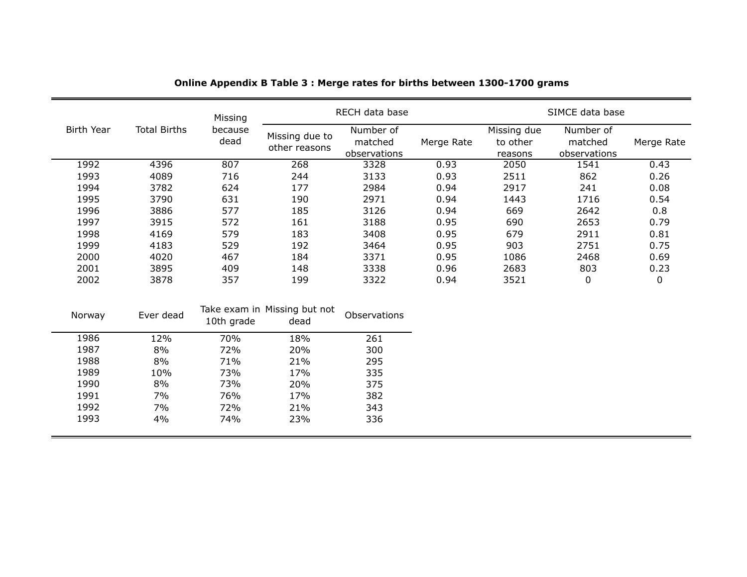|                   |                     | Missing         |                                 | RECH data base                       |            |                                    | SIMCE data base                      |            |
|-------------------|---------------------|-----------------|---------------------------------|--------------------------------------|------------|------------------------------------|--------------------------------------|------------|
| <b>Birth Year</b> | <b>Total Births</b> | because<br>dead | Missing due to<br>other reasons | Number of<br>matched<br>observations | Merge Rate | Missing due<br>to other<br>reasons | Number of<br>matched<br>observations | Merge Rate |
| 1992              | 4396                | 807             | 268                             | 3328                                 | 0.93       | 2050                               | 1541                                 | 0.43       |
| 1993              | 4089                | 716             | 244                             | 3133                                 | 0.93       | 2511                               | 862                                  | 0.26       |
| 1994              | 3782                | 624             | 177                             | 2984                                 | 0.94       | 2917                               | 241                                  | 0.08       |
| 1995              | 3790                | 631             | 190                             | 2971                                 | 0.94       | 1443                               | 1716                                 | 0.54       |
| 1996              | 3886                | 577             | 185                             | 3126                                 | 0.94       | 669                                | 2642                                 | 0.8        |
| 1997              | 3915                | 572             | 161                             | 3188                                 | 0.95       | 690                                | 2653                                 | 0.79       |
| 1998              | 4169                | 579             | 183                             | 3408                                 | 0.95       | 679                                | 2911                                 | 0.81       |
| 1999              | 4183                | 529             | 192                             | 3464                                 | 0.95       | 903                                | 2751                                 | 0.75       |
| 2000              | 4020                | 467             | 184                             | 3371                                 | 0.95       | 1086                               | 2468                                 | 0.69       |
| 2001              | 3895                | 409             | 148                             | 3338                                 | 0.96       | 2683                               | 803                                  | 0.23       |
| 2002              | 3878                | 357             | 199                             | 3322                                 | 0.94       | 3521                               | 0                                    |            |

| Norway | Ever dead | 10th grade | Take exam in Missing but not<br>dead | Observations |
|--------|-----------|------------|--------------------------------------|--------------|
| 1986   | 12%       | 70%        | 18%                                  | 261          |
| 1987   | 8%        | 72%        | 20%                                  | 300          |
| 1988   | 8%        | 71%        | 21%                                  | 295          |
| 1989   | 10%       | 73%        | 17%                                  | 335          |
| 1990   | 8%        | 73%        | 20%                                  | 375          |
| 1991   | 7%        | 76%        | 17%                                  | 382          |
| 1992   | 7%        | 72%        | 21%                                  | 343          |
| 1993   | 4%        | 74%        | 23%                                  | 336          |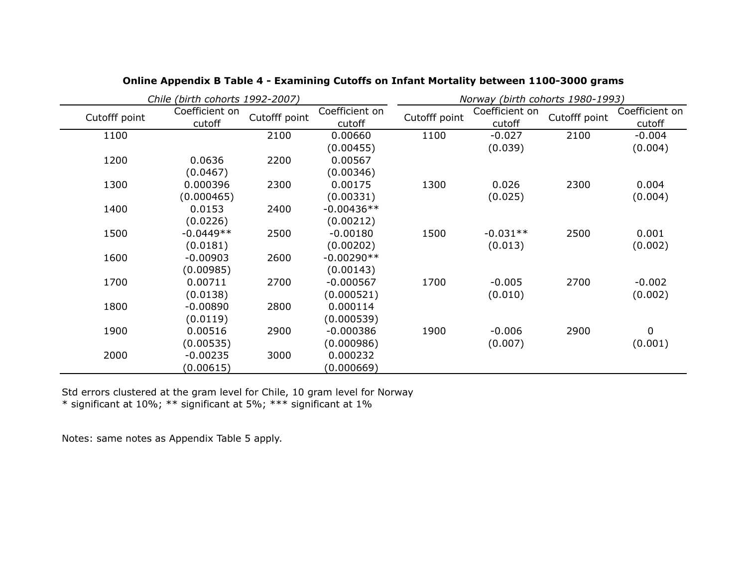| Chile (birth cohorts 1992-2007) |               |                |               |                | Norway (birth cohorts 1980-1993) |                |               |                |
|---------------------------------|---------------|----------------|---------------|----------------|----------------------------------|----------------|---------------|----------------|
|                                 | Cutofff point | Coefficient on | Cutofff point | Coefficient on | Cutofff point                    | Coefficient on | Cutofff point | Coefficient on |
|                                 |               | cutoff         |               | cutoff         |                                  | cutoff         |               | cutoff         |
|                                 | 1100          |                | 2100          | 0.00660        | 1100                             | $-0.027$       | 2100          | $-0.004$       |
|                                 |               |                |               | (0.00455)      |                                  | (0.039)        |               | (0.004)        |
|                                 | 1200          | 0.0636         | 2200          | 0.00567        |                                  |                |               |                |
|                                 |               | (0.0467)       |               | (0.00346)      |                                  |                |               |                |
|                                 | 1300          | 0.000396       | 2300          | 0.00175        | 1300                             | 0.026          | 2300          | 0.004          |
|                                 |               | (0.000465)     |               | (0.00331)      |                                  | (0.025)        |               | (0.004)        |
|                                 | 1400          | 0.0153         | 2400          | $-0.00436**$   |                                  |                |               |                |
|                                 |               | (0.0226)       |               | (0.00212)      |                                  |                |               |                |
|                                 | 1500          | $-0.0449**$    | 2500          | $-0.00180$     | 1500                             | $-0.031**$     | 2500          | 0.001          |
|                                 |               | (0.0181)       |               | (0.00202)      |                                  | (0.013)        |               | (0.002)        |
|                                 | 1600          | $-0.00903$     | 2600          | $-0.00290**$   |                                  |                |               |                |
|                                 |               | (0.00985)      |               | (0.00143)      |                                  |                |               |                |
|                                 | 1700          | 0.00711        | 2700          | $-0.000567$    | 1700                             | $-0.005$       | 2700          | $-0.002$       |
|                                 |               | (0.0138)       |               | (0.000521)     |                                  | (0.010)        |               | (0.002)        |
|                                 | 1800          | $-0.00890$     | 2800          | 0.000114       |                                  |                |               |                |
|                                 |               | (0.0119)       |               | (0.000539)     |                                  |                |               |                |
|                                 | 1900          | 0.00516        | 2900          | $-0.000386$    | 1900                             | $-0.006$       | 2900          | 0              |
|                                 |               | (0.00535)      |               | (0.000986)     |                                  | (0.007)        |               | (0.001)        |
|                                 | 2000          | $-0.00235$     | 3000          | 0.000232       |                                  |                |               |                |
|                                 |               | (0.00615)      |               | (0.000669)     |                                  |                |               |                |

## **Online Appendix B Table 4 - Examining Cutoffs on Infant Mortality between 1100-3000 grams**

Std errors clustered at the gram level for Chile, 10 gram level for Norway

\* significant at 10%; \*\* significant at 5%; \*\*\* significant at 1%

Notes: same notes as Appendix Table 5 apply.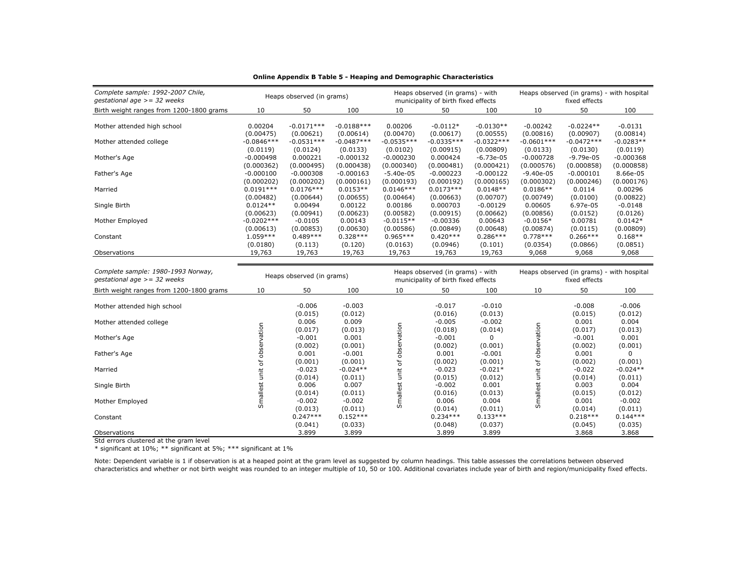| Complete sample: 1992-2007 Chile,<br>qestational age $>=$ 32 weeks                                          |                              | Heaps observed (in grams) |                                                                         |                              | Heaps observed (in grams) - with<br>municipality of birth fixed effects |                           |                                                            | Heaps observed (in grams) - with hospital<br>fixed effects |                           |
|-------------------------------------------------------------------------------------------------------------|------------------------------|---------------------------|-------------------------------------------------------------------------|------------------------------|-------------------------------------------------------------------------|---------------------------|------------------------------------------------------------|------------------------------------------------------------|---------------------------|
| Birth weight ranges from 1200-1800 grams                                                                    | 10                           | 50                        | 100                                                                     | 10                           | 50                                                                      | 100                       | 10                                                         | 50                                                         | 100                       |
| Mother attended high school                                                                                 | 0.00204<br>(0.00475)         | $-0.0171***$<br>(0.00621) | $-0.0188***$<br>(0.00614)                                               | 0.00206<br>(0.00470)         | $-0.0112*$<br>(0.00617)                                                 | $-0.0130**$<br>(0.00555)  | $-0.00242$<br>(0.00816)                                    | $-0.0224**$<br>(0.00907)                                   | $-0.0131$<br>(0.00814)    |
| Mother attended college                                                                                     | $-0.0846***$<br>(0.0119)     | $-0.0531***$<br>(0.0124)  | $-0.0487***$<br>(0.0133)                                                | $-0.0535***$<br>(0.0102)     | $-0.0335***$<br>(0.00915)                                               | $-0.0322***$<br>(0.00809) | $-0.0601***$<br>(0.0133)                                   | $-0.0472***$<br>(0.0130)                                   | $-0.0283**$<br>(0.0119)   |
| Mother's Age                                                                                                | $-0.000498$<br>(0.000362)    | 0.000221<br>(0.000495)    | $-0.000132$<br>(0.000438)                                               | $-0.000230$<br>(0.000340)    | 0.000424<br>(0.000481)                                                  | $-6.73e-05$<br>(0.000421) | $-0.000728$<br>(0.000576)                                  | $-9.79e-05$<br>(0.000858)                                  | $-0.000368$<br>(0.000858) |
| Father's Age                                                                                                | $-0.000100$<br>(0.000202)    | $-0.000308$               | $-0.000163$<br>(0.000161)                                               | $-5.40e-05$                  | $-0.000223$                                                             | $-0.000122$               | $-9.40e-05$                                                | $-0.000101$                                                | 8.66e-05                  |
| Married                                                                                                     | $0.0191***$                  | (0.000202)<br>$0.0176***$ | $0.0153**$                                                              | (0.000193)<br>$0.0146***$    | (0.000192)<br>$0.0173***$                                               | (0.000165)<br>$0.0148**$  | (0.000302)<br>$0.0186**$                                   | (0.000246)<br>0.0114                                       | (0.000176)<br>0.00296     |
| Single Birth                                                                                                | (0.00482)<br>$0.0124**$      | (0.00644)<br>0.00494      | (0.00655)<br>0.00122                                                    | (0.00464)<br>0.00186         | (0.00663)<br>0.000703                                                   | (0.00707)<br>$-0.00129$   | (0.00749)<br>0.00605                                       | (0.0100)<br>6.97e-05                                       | (0.00822)<br>$-0.0148$    |
| Mother Employed                                                                                             | (0.00623)<br>$-0.0202***$    | (0.00941)<br>$-0.0105$    | (0.00623)<br>0.00143                                                    | (0.00582)<br>$-0.0115**$     | (0.00915)<br>$-0.00336$                                                 | (0.00662)<br>0.00643      | (0.00856)<br>$-0.0156*$                                    | (0.0152)<br>0.00781                                        | (0.0126)<br>$0.0142*$     |
| Constant                                                                                                    | (0.00613)<br>1.059***        | (0.00853)<br>$0.489***$   | (0.00630)<br>$0.328***$                                                 | (0.00586)<br>$0.965***$      | (0.00849)<br>$0.420***$                                                 | (0.00648)<br>$0.286***$   | (0.00874)<br>$0.778***$                                    | (0.0115)<br>$0.266***$                                     | (0.00809)<br>$0.168**$    |
| Observations                                                                                                | (0.0180)<br>19,763           | (0.113)<br>19,763         | (0.120)<br>19,763                                                       | (0.0163)<br>19,763           | (0.0946)<br>19,763                                                      | (0.101)<br>19,763         | (0.0354)<br>9,068                                          | (0.0866)<br>9,068                                          | (0.0851)<br>9,068         |
| Complete sample: 1980-1993 Norway,<br>$q$ estational age $>=$ 32 weeks                                      | Heaps observed (in grams)    |                           | Heaps observed (in grams) - with<br>municipality of birth fixed effects |                              |                                                                         |                           | Heaps observed (in grams) - with hospital<br>fixed effects |                                                            |                           |
| Birth weight ranges from 1200-1800 grams                                                                    | 10                           | 50                        | 100                                                                     | 10                           | 50                                                                      | 100                       | 10                                                         | 50                                                         | 100                       |
| Mother attended high school                                                                                 |                              | $-0.006$<br>(0.015)       | $-0.003$<br>(0.012)                                                     |                              | $-0.017$<br>(0.016)                                                     | $-0.010$<br>(0.013)       |                                                            | $-0.008$<br>(0.015)                                        | $-0.006$<br>(0.012)       |
| Mother attended college                                                                                     |                              | 0.006<br>(0.017)          | 0.009<br>(0.013)                                                        |                              | $-0.005$<br>(0.018)                                                     | $-0.002$<br>(0.014)       |                                                            | 0.001<br>(0.017)                                           | 0.004<br>(0.013)          |
| Mother's Age                                                                                                |                              | $-0.001$<br>(0.002)       | 0.001<br>(0.001)                                                        |                              | $-0.001$<br>(0.002)                                                     | $\mathbf 0$<br>(0.001)    |                                                            | $-0.001$<br>(0.002)                                        | 0.001<br>(0.001)          |
| Father's Age                                                                                                |                              | 0.001<br>(0.001)          | $-0.001$<br>(0.001)                                                     |                              | 0.001<br>(0.002)                                                        | $-0.001$<br>(0.001)       |                                                            | 0.001<br>(0.002)                                           | 0<br>(0.001)              |
| Married                                                                                                     |                              | $-0.023$<br>(0.014)       | $-0.024**$<br>(0.011)                                                   |                              | $-0.023$<br>(0.015)                                                     | $-0.021*$<br>(0.012)      |                                                            | $-0.022$<br>(0.014)                                        | $-0.024**$<br>(0.011)     |
| Single Birth                                                                                                | Smallest unit of observation | 0.006<br>(0.014)          | 0.007<br>(0.011)                                                        | Smallest unit of observation | $-0.002$<br>(0.016)                                                     | 0.001<br>(0.013)          | Smallest unit of observation                               | 0.003<br>(0.015)                                           | 0.004<br>(0.012)          |
| Mother Employed                                                                                             |                              | $-0.002$<br>(0.013)       | $-0.002$<br>(0.011)                                                     |                              | 0.006<br>(0.014)                                                        | 0.004<br>(0.011)          |                                                            | 0.001<br>(0.014)                                           | $-0.002$<br>(0.011)       |
| Constant                                                                                                    |                              | $0.247***$<br>(0.041)     | $0.152***$<br>(0.033)                                                   |                              | $0.234***$<br>(0.048)                                                   | $0.133***$<br>(0.037)     |                                                            | $0.218***$<br>(0.045)                                      | $0.144***$<br>(0.035)     |
| Observations                                                                                                |                              | 3.899                     | 3.899                                                                   |                              | 3.899                                                                   | 3.899                     |                                                            | 3.868                                                      | 3.868                     |
| Std errors clustered at the gram level<br>* significant at 10%; ** significant at 5%; *** significant at 1% |                              |                           |                                                                         |                              |                                                                         |                           |                                                            |                                                            |                           |

### **Online Appendix B Table 5 - Heaping and Demographic Characteristics**

Note: Dependent variable is 1 if observation is at a heaped point at the gram level as suggested by column headings. This table assesses the correlations between observed characteristics and whether or not birth weight was rounded to an integer multiple of 10, 50 or 100. Additional covariates include year of birth and region/municipality fixed effects.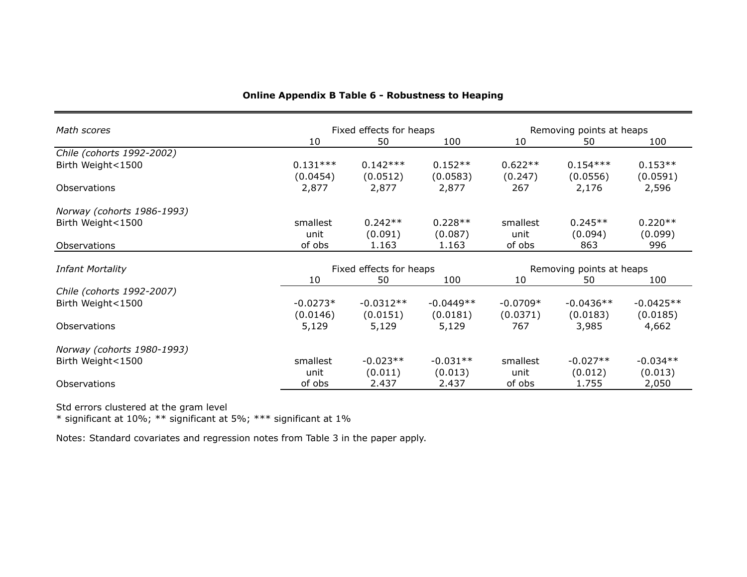| Math scores                |            | Fixed effects for heaps |             |            | Removing points at heaps |             |
|----------------------------|------------|-------------------------|-------------|------------|--------------------------|-------------|
|                            | 10         | 50                      | 100         | 10         | 50                       | 100         |
| Chile (cohorts 1992-2002)  |            |                         |             |            |                          |             |
| Birth Weight<1500          | $0.131***$ | $0.142***$              | $0.152**$   | $0.622**$  | $0.154***$               | $0.153**$   |
|                            | (0.0454)   | (0.0512)                | (0.0583)    | (0.247)    | (0.0556)                 | (0.0591)    |
| <b>Observations</b>        | 2,877      | 2,877                   | 2,877       | 267        | 2,176                    | 2,596       |
| Norway (cohorts 1986-1993) |            |                         |             |            |                          |             |
| Birth Weight<1500          | smallest   | $0.242**$               | $0.228**$   | smallest   | $0.245**$                | $0.220**$   |
|                            | unit       | (0.091)                 | (0.087)     | unit       | (0.094)                  | (0.099)     |
| Observations               | of obs     | 1.163                   | 1.163       | of obs     | 863                      | 996         |
| <b>Infant Mortality</b>    |            | Fixed effects for heaps |             |            | Removing points at heaps |             |
|                            | 10         | 50                      | 100         | 10         | 50                       | 100         |
| Chile (cohorts 1992-2007)  |            |                         |             |            |                          |             |
| Birth Weight<1500          | $-0.0273*$ | $-0.0312**$             | $-0.0449**$ | $-0.0709*$ | $-0.0436**$              | $-0.0425**$ |
|                            | (0.0146)   | (0.0151)                | (0.0181)    | (0.0371)   | (0.0183)                 | (0.0185)    |
| Observations               | 5,129      | 5,129                   | 5,129       | 767        | 3,985                    | 4,662       |
| Norway (cohorts 1980-1993) |            |                         |             |            |                          |             |
| Birth Weight<1500          | smallest   | $-0.023**$              | $-0.031**$  | smallest   | $-0.027**$               | $-0.034**$  |
|                            | unit       | (0.011)                 | (0.013)     | unit       | (0.012)                  | (0.013)     |
| <b>Observations</b>        | of obs     | 2.437                   | 2.437       | of obs     | 1.755                    | 2,050       |

## **Online Appendix B Table 6 - Robustness to Heaping**

Std errors clustered at the gram level

\* significant at 10%; \*\* significant at 5%; \*\*\* significant at 1%

Notes: Standard covariates and regression notes from Table 3 in the paper apply.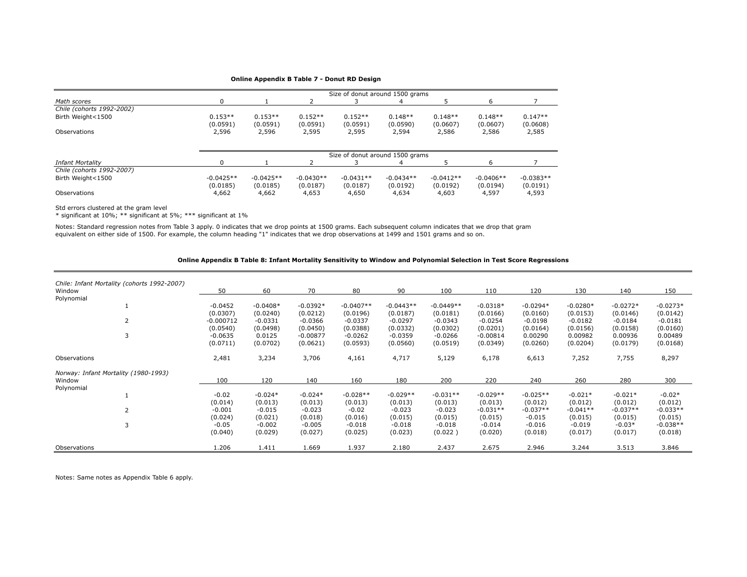#### **Online Appendix B Table 7 - Donut RD Design**

|                           |                                 |             |             |             | Size of donut around 1500 grams |             |             |             |
|---------------------------|---------------------------------|-------------|-------------|-------------|---------------------------------|-------------|-------------|-------------|
| Math scores               | 0                               |             |             |             |                                 |             | 6           |             |
| Chile (cohorts 1992-2002) |                                 |             |             |             |                                 |             |             |             |
| Birth Weight<1500         | $0.153**$                       | $0.153**$   | $0.152**$   | $0.152**$   | $0.148**$                       | $0.148**$   | $0.148**$   | $0.147**$   |
|                           | (0.0591)                        | (0.0591)    | (0.0591)    | (0.0591)    | (0.0590)                        | (0.0607)    | (0.0607)    | (0.0608)    |
| Observations              | 2,596                           | 2,596       | 2,595       | 2,595       | 2,594                           | 2,586       | 2,586       | 2,585       |
|                           | Size of donut around 1500 grams |             |             |             |                                 |             |             |             |
| <b>Infant Mortality</b>   | O                               |             |             |             |                                 |             |             |             |
| Chile (cohorts 1992-2007) |                                 |             |             |             |                                 |             |             |             |
| Birth Weight<1500         | $-0.0425**$                     | $-0.0425**$ | $-0.0430**$ | $-0.0431**$ | $-0.0434**$                     | $-0.0412**$ | $-0.0406**$ | $-0.0383**$ |
|                           | (0.0185)                        | (0.0185)    | (0.0187)    | (0.0187)    | (0.0192)                        | (0.0192)    | (0.0194)    | (0.0191)    |
| Observations              | 4,662                           | 4,662       | 4,653       | 4,650       | 4,634                           | 4,603       | 4,597       | 4,593       |

Std errors clustered at the gram level

\* significant at 10%; \*\* significant at 5%; \*\*\* significant at 1%

Notes: Standard regression notes from Table 3 apply. 0 indicates that we drop points at 1500 grams. Each subsequent column indicates that we drop that gram<br>equivalent on either side of 1500. For example, the column heading

### **Online Appendix B Table 8: Infant Mortality Sensitivity to Window and Polynomial Selection in Test Score Regressions**

| Chile: Infant Mortality (cohorts 1992-2007) |             |            |            |             |             |             |            |            |            |            |            |
|---------------------------------------------|-------------|------------|------------|-------------|-------------|-------------|------------|------------|------------|------------|------------|
| Window                                      | 50          | 60         | 70         | 80          | 90          | 100         | 110        | 120        | 130        | 140        | 150        |
| Polynomial                                  |             |            |            |             |             |             |            |            |            |            |            |
|                                             | $-0.0452$   | $-0.0408*$ | $-0.0392*$ | $-0.0407**$ | $-0.0443**$ | $-0.0449**$ | $-0.0318*$ | $-0.0294*$ | $-0.0280*$ | $-0.0272*$ | $-0.0273*$ |
|                                             | (0.0307)    | (0.0240)   | (0.0212)   | (0.0196)    | (0.0187)    | (0.0181)    | (0.0166)   | (0.0160)   | (0.0153)   | (0.0146)   | (0.0142)   |
| $\overline{2}$                              | $-0.000712$ | $-0.0331$  | $-0.0366$  | $-0.0337$   | $-0.0297$   | $-0.0343$   | $-0.0254$  | $-0.0198$  | $-0.0182$  | $-0.0184$  | $-0.0181$  |
|                                             | (0.0540)    | (0.0498)   | (0.0450)   | (0.0388)    | (0.0332)    | (0.0302)    | (0.0201)   | (0.0164)   | (0.0156)   | (0.0158)   | (0.0160)   |
| 3                                           | $-0.0635$   | 0.0125     | $-0.00877$ | $-0.0262$   | $-0.0359$   | $-0.0266$   | $-0.00814$ | 0.00290    | 0.00982    | 0.00936    | 0.00489    |
|                                             | (0.0711)    | (0.0702)   | (0.0621)   | (0.0593)    | (0.0560)    | (0.0519)    | (0.0349)   | (0.0260)   | (0.0204)   | (0.0179)   | (0.0168)   |
| Observations                                | 2,481       | 3,234      | 3,706      | 4,161       | 4,717       | 5,129       | 6,178      | 6,613      | 7,252      | 7,755      | 8,297      |
|                                             |             |            |            |             |             |             |            |            |            |            |            |
| Norway: Infant Mortality (1980-1993)        |             |            |            |             |             |             |            |            |            |            |            |
| Window                                      | 100         | 120        | 140        | 160         | 180         | 200         | 220        | 240        | 260        | 280        | 300        |
| Polynomial                                  |             |            |            |             |             |             |            |            |            |            |            |
|                                             | $-0.02$     | $-0.024*$  | $-0.024*$  | $-0.028**$  | $-0.029**$  | $-0.031**$  | $-0.029**$ | $-0.025**$ | $-0.021*$  | $-0.021*$  | $-0.02*$   |
|                                             | (0.014)     | (0.013)    | (0.013)    | (0.013)     | (0.013)     | (0.013)     | (0.013)    | (0.012)    | (0.012)    | (0.012)    | (0.012)    |
| $\overline{2}$                              | $-0.001$    | $-0.015$   | $-0.023$   | $-0.02$     | $-0.023$    | $-0.023$    | $-0.031**$ | $-0.037**$ | $-0.041**$ | $-0.037**$ | $-0.033**$ |
|                                             | (0.024)     | (0.021)    | (0.018)    | (0.016)     | (0.015)     | (0.015)     | (0.015)    | $-0.015$   | (0.015)    | (0.015)    | (0.015)    |
| 3                                           | $-0.05$     | $-0.002$   | $-0.005$   | $-0.018$    | $-0.018$    | $-0.018$    | $-0.014$   | $-0.016$   | $-0.019$   | $-0.03*$   | $-0.038**$ |
|                                             | (0.040)     | (0.029)    | (0.027)    | (0.025)     | (0.023)     | (0.022)     | (0.020)    | (0.018)    | (0.017)    | (0.017)    | (0.018)    |
| Observations                                | 1.206       | 1.411      | 1.669      | 1.937       | 2.180       | 2.437       | 2.675      | 2.946      | 3.244      | 3.513      | 3.846      |

Notes: Same notes as Appendix Table 6 apply.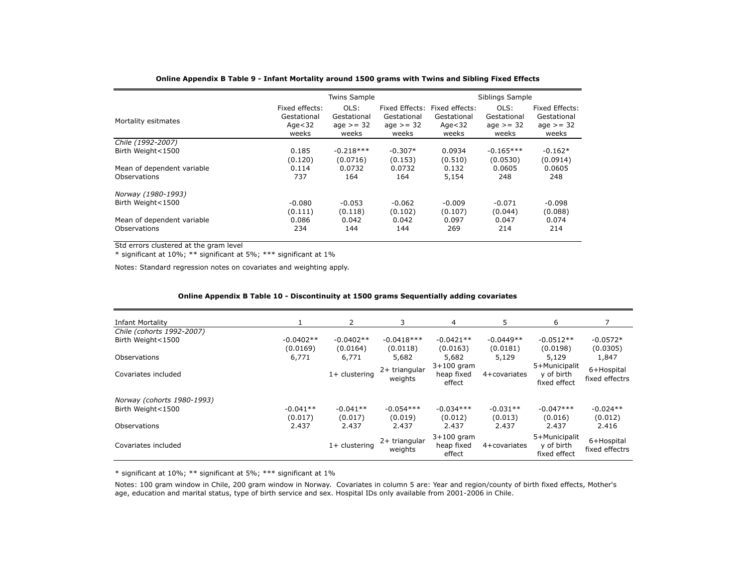|                            |                                                      | <b>Twins Sample</b>                         |                                                       |                                                      | Siblings Sample                             |                                                       |  |
|----------------------------|------------------------------------------------------|---------------------------------------------|-------------------------------------------------------|------------------------------------------------------|---------------------------------------------|-------------------------------------------------------|--|
| Mortality esitmates        | Fixed effects:<br>Gestational<br>Age $<$ 32<br>weeks | OLS:<br>Gestational<br>age $>=$ 32<br>weeks | Fixed Effects:<br>Gestational<br>age $>=$ 32<br>weeks | Fixed effects:<br>Gestational<br>Age $<$ 32<br>weeks | OLS:<br>Gestational<br>age $>=$ 32<br>weeks | Fixed Effects:<br>Gestational<br>age $>=$ 32<br>weeks |  |
| Chile (1992-2007)          |                                                      |                                             |                                                       |                                                      |                                             |                                                       |  |
| Birth Weight<1500          | 0.185<br>(0.120)                                     | $-0.218***$<br>(0.0716)                     | $-0.307*$<br>(0.153)                                  | 0.0934<br>(0.510)                                    | $-0.165***$<br>(0.0530)                     | $-0.162*$<br>(0.0914)                                 |  |
| Mean of dependent variable | 0.114<br>737                                         | 0.0732<br>164                               | 0.0732<br>164                                         | 0.132                                                | 0.0605<br>248                               | 0.0605<br>248                                         |  |
| Observations               |                                                      |                                             |                                                       | 5,154                                                |                                             |                                                       |  |
| Norway (1980-1993)         |                                                      |                                             |                                                       |                                                      |                                             |                                                       |  |
| Birth Weight<1500          | $-0.080$                                             | $-0.053$                                    | $-0.062$                                              | $-0.009$                                             | $-0.071$                                    | $-0.098$                                              |  |
|                            | (0.111)                                              | (0.118)                                     | (0.102)                                               | (0.107)                                              | (0.044)                                     | (0.088)                                               |  |
| Mean of dependent variable | 0.086                                                | 0.042                                       | 0.042                                                 | 0.097                                                | 0.047                                       | 0.074                                                 |  |
| Observations               | 234                                                  | 144                                         | 144                                                   | 269                                                  | 214                                         | 214                                                   |  |

### **Online Appendix B Table 9 - Infant Mortality around 1500 grams with Twins and Sibling Fixed Effects**

Std errors clustered at the gram level

\* significant at 10%; \*\* significant at 5%; \*\*\* significant at 1%

Notes: Standard regression notes on covariates and weighting apply.

| <b>Infant Mortality</b>    |             | $\overline{2}$  | 3                        | $\overline{4}$                       | 5            | 6                                           |                              |
|----------------------------|-------------|-----------------|--------------------------|--------------------------------------|--------------|---------------------------------------------|------------------------------|
| Chile (cohorts 1992-2007)  |             |                 |                          |                                      |              |                                             |                              |
| Birth Weight<1500          | $-0.0402**$ | $-0.0402**$     | $-0.0418***$             | $-0.0421**$                          | $-0.0449**$  | $-0.0512**$                                 | $-0.0572*$                   |
|                            | (0.0169)    | (0.0164)        | (0.0118)                 | (0.0163)                             | (0.0181)     | (0.0198)                                    | (0.0305)                     |
| Observations               | 6,771       | 6,771           | 5,682                    | 5,682                                | 5,129        | 5,129                                       | 1,847                        |
| Covariates included        |             | $1+$ clustering | 2+ triangular<br>weights | $3+100$ gram<br>heap fixed<br>effect | 4+covariates | 5+Municipalit<br>y of birth<br>fixed effect | 6+Hospital<br>fixed effectrs |
| Norway (cohorts 1980-1993) |             |                 |                          |                                      |              |                                             |                              |
| Birth Weight<1500          | $-0.041**$  | $-0.041**$      | $-0.054***$              | $-0.034***$                          | $-0.031**$   | $-0.047***$                                 | $-0.024**$                   |
|                            | (0.017)     | (0.017)         | (0.019)                  | (0.012)                              | (0.013)      | (0.016)                                     | (0.012)                      |
| Observations               | 2.437       | 2.437           | 2.437                    | 2.437                                | 2.437        | 2.437                                       | 2.416                        |
| Covariates included        |             | $1+$ clustering | 2+ triangular<br>weights | $3+100$ gram<br>heap fixed<br>effect | 4+covariates | 5+Municipalit<br>y of birth<br>fixed effect | 6+Hospital<br>fixed effectrs |

### **Online Appendix B Table 10 - Discontinuity at 1500 grams Sequentially adding covariates**

\* significant at 10%; \*\* significant at 5%; \*\*\* significant at 1%

Notes: 100 gram window in Chile, 200 gram window in Norway. Covariates in column 5 are: Year and region/county of birth fixed effects, Mother's age, education and marital status, type of birth service and sex. Hospital IDs only available from 2001-2006 in Chile.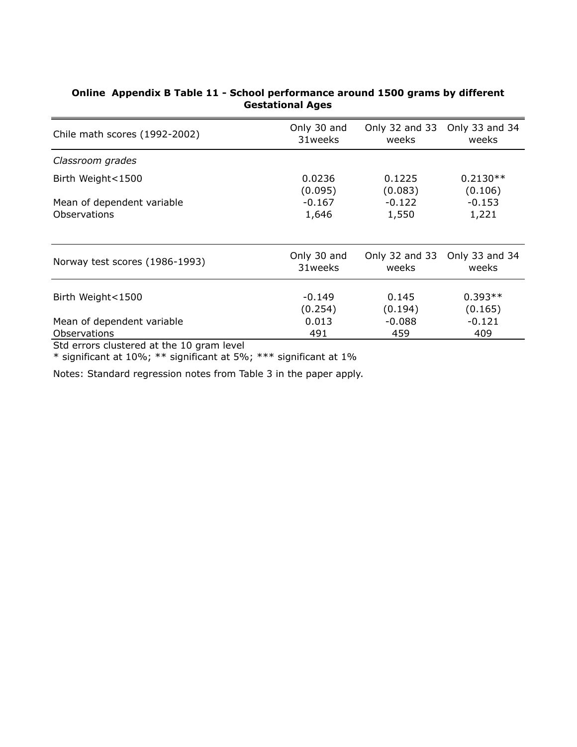| Chile math scores (1992-2002)  | Only 30 and<br>31 weeks | Only $32$ and $33$<br>weeks | Only 33 and 34<br>weeks |
|--------------------------------|-------------------------|-----------------------------|-------------------------|
| Classroom grades               |                         |                             |                         |
| Birth Weight < 1500            | 0.0236<br>(0.095)       | 0.1225<br>(0.083)           | $0.2130**$<br>(0.106)   |
| Mean of dependent variable     | $-0.167$                | $-0.122$                    | $-0.153$                |
| <b>Observations</b>            | 1,646                   | 1,550                       | 1,221                   |
|                                |                         |                             |                         |
| Norway test scores (1986-1993) | Only 30 and<br>31 weeks | Only 32 and 33<br>weeks     | Only 33 and 34<br>weeks |
| Birth Weight < 1500            | $-0.149$                | 0.145                       | $0.393**$               |
|                                | (0.254)                 | (0.194)                     | (0.165)                 |
| Mean of dependent variable     | 0.013                   | $-0.088$                    | $-0.121$                |
| <b>Observations</b>            | 491                     | 459                         | 409                     |

# **Online Appendix B Table 11 - School performance around 1500 grams by different Gestational Ages**

Std errors clustered at the 10 gram level

\* significant at 10%; \*\* significant at 5%; \*\*\* significant at 1%

Notes: Standard regression notes from Table 3 in the paper apply.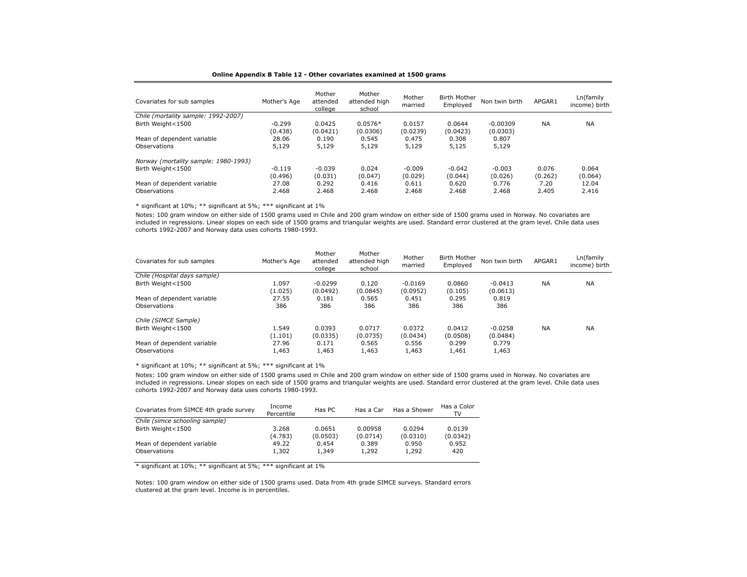| Covariates for sub samples           | Mother's Age | Mother<br>attended<br>college | Mother<br>attended high<br>school | Mother<br>married | <b>Birth Mother</b><br>Emploved | Non twin birth | APGAR1    | Ln(family<br>income) birth |
|--------------------------------------|--------------|-------------------------------|-----------------------------------|-------------------|---------------------------------|----------------|-----------|----------------------------|
| Chile (mortality sample: 1992-2007)  |              |                               |                                   |                   |                                 |                |           |                            |
| Birth Weight<1500                    | $-0.299$     | 0.0425                        | $0.0576*$                         | 0.0157            | 0.0644                          | $-0.00309$     | <b>NA</b> | <b>NA</b>                  |
|                                      | (0.438)      | (0.0421)                      | (0.0306)                          | (0.0239)          | (0.0423)                        | (0.0303)       |           |                            |
| Mean of dependent variable           | 28.06        | 0.190                         | 0.545                             | 0.475             | 0.308                           | 0.807          |           |                            |
| Observations                         | 5,129        | 5,129                         | 5,129                             | 5,129             | 5,125                           | 5,129          |           |                            |
| Norway (mortality sample: 1980-1993) |              |                               |                                   |                   |                                 |                |           |                            |
| Birth Weight<1500                    | $-0.119$     | $-0.039$                      | 0.024                             | $-0.009$          | $-0.042$                        | $-0.003$       | 0.076     | 0.064                      |
|                                      | (0.496)      | (0.031)                       | (0.047)                           | (0.029)           | (0.044)                         | (0.026)        | (0.262)   | (0.064)                    |
| Mean of dependent variable           | 27.08        | 0.292                         | 0.416                             | 0.611             | 0.620                           | 0.776          | 7.20      | 12.04                      |
| Observations                         | 2.468        | 2.468                         | 2.468                             | 2.468             | 2.468                           | 2.468          | 2.405     | 2.416                      |

#### **Online Appendix B Table 12 - Other covariates examined at 1500 grams**

\* significant at 10%; \*\* significant at 5%; \*\*\* significant at 1%

Notes: 100 gram window on either side of 1500 grams used in Chile and 200 gram window on either side of 1500 grams used in Norway. No covariates are included in regressions. Linear slopes on each side of 1500 grams and triangular weights are used. Standard error clustered at the gram level. Chile data uses cohorts 1992-2007 and Norway data uses cohorts 1980-1993.

| Covariates for sub samples   | Mother's Age | Mother<br>attended<br>college | Mother<br>attended high<br>school | Mother<br>married | <b>Birth Mother</b><br>Emploved | Non twin birth | APGAR1    | Ln(family<br>income) birth |
|------------------------------|--------------|-------------------------------|-----------------------------------|-------------------|---------------------------------|----------------|-----------|----------------------------|
| Chile (Hospital days sample) |              |                               |                                   |                   |                                 |                |           |                            |
| Birth Weight<1500            | 1.097        | $-0.0299$                     | 0.120                             | $-0.0169$         | 0.0860                          | $-0.0413$      | <b>NA</b> | <b>NA</b>                  |
|                              | (1.025)      | (0.0492)                      | (0.0845)                          | (0.0952)          | (0.105)                         | (0.0613)       |           |                            |
| Mean of dependent variable   | 27.55        | 0.181                         | 0.565                             | 0.451             | 0.295                           | 0.819          |           |                            |
| Observations                 | 386          | 386                           | 386                               | 386               | 386                             | 386            |           |                            |
| Chile (SIMCE Sample)         |              |                               |                                   |                   |                                 |                |           |                            |
| Birth Weight<1500            | 1.549        | 0.0393                        | 0.0717                            | 0.0372            | 0.0412                          | $-0.0258$      | <b>NA</b> | <b>NA</b>                  |
|                              | (1.101)      | (0.0335)                      | (0.0735)                          | (0.0434)          | (0.0508)                        | (0.0484)       |           |                            |
| Mean of dependent variable   | 27.96        | 0.171                         | 0.565                             | 0.556             | 0.299                           | 0.779          |           |                            |
| Observations                 | 1,463        | 1,463                         | 1,463                             | 1,463             | 1,461                           | 1,463          |           |                            |

\* significant at 10%; \*\* significant at 5%; \*\*\* significant at 1%

Notes: 100 gram window on either side of 1500 grams used in Chile and 200 gram window on either side of 1500 grams used in Norway. No covariates are included in regressions. Linear slopes on each side of 1500 grams and triangular weights are used. Standard error clustered at the gram level. Chile data uses cohorts 1992-2007 and Norway data uses cohorts 1980-1993.

| Covariates from SIMCE 4th grade survey | Income<br>Percentile | Has PC   | Has a Car | Has a Shower | Has a Color<br>TV |
|----------------------------------------|----------------------|----------|-----------|--------------|-------------------|
| Chile (simce schooling sample)         |                      |          |           |              |                   |
| Birth Weight<1500                      | 3.268                | 0.0651   | 0.00958   | 0.0294       | 0.0139            |
|                                        | (4.783)              | (0.0503) | (0.0714)  | (0.0310)     | (0.0342)          |
| Mean of dependent variable             | 49.22                | 0.454    | 0.389     | 0.950        | 0.952             |
| Observations                           | 1,302                | 1,349    | 1,292     | 1,292        | 420               |

\* significant at 10%; \*\* significant at 5%; \*\*\* significant at 1%

Notes: 100 gram window on either side of 1500 grams used. Data from 4th grade SIMCE surveys. Standard errors clustered at the gram level. Income is in percentiles.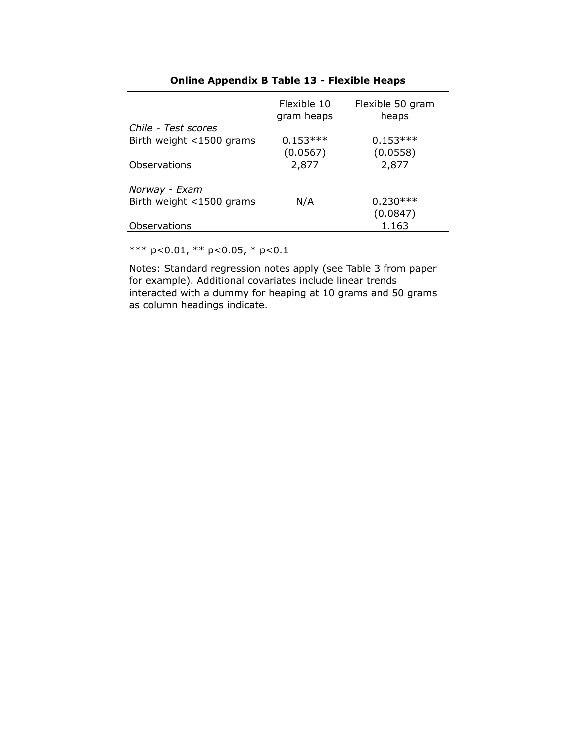|                          | Flexible 10<br>gram heaps | Flexible 50 gram<br>heaps |
|--------------------------|---------------------------|---------------------------|
| Chile - Test scores      |                           |                           |
| Birth weight <1500 grams | $0.153***$                | $0.153***$                |
|                          | (0.0567)                  | (0.0558)                  |
| Observations             | 2,877                     | 2,877                     |
| Norway - Exam            |                           |                           |
| Birth weight <1500 grams | N/A                       | $0.230***$                |
|                          |                           | (0.0847)                  |
| Observations             |                           | 1.163                     |

# **Online Appendix B Table 13 - Flexible Heaps**

\*\*\* p<0.01, \*\* p<0.05, \* p<0.1

Notes: Standard regression notes apply (see Table 3 from paper for example). Additional covariates include linear trends interacted with a dummy for heaping at 10 grams and 50 grams as column headings indicate.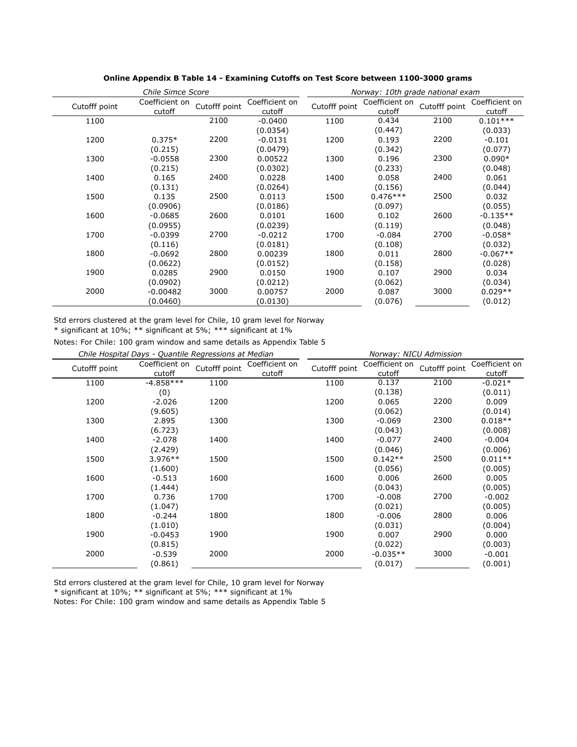|               | Chile Simce Score        |               |                          | Norway: 10th grade national exam |                          |               |                          |  |
|---------------|--------------------------|---------------|--------------------------|----------------------------------|--------------------------|---------------|--------------------------|--|
| Cutofff point | Coefficient on<br>cutoff | Cutofff point | Coefficient on<br>cutoff | Cutofff point                    | Coefficient on<br>cutoff | Cutofff point | Coefficient on<br>cutoff |  |
| 1100          |                          | 2100          | $-0.0400$                | 1100                             | 0.434                    | 2100          | $0.101***$               |  |
|               |                          |               | (0.0354)                 |                                  | (0.447)                  |               | (0.033)                  |  |
| 1200          | $0.375*$                 | 2200          | $-0.0131$                | 1200                             | 0.193                    | 2200          | $-0.101$                 |  |
|               | (0.215)                  |               | (0.0479)                 |                                  | (0.342)                  |               | (0.077)                  |  |
| 1300          | $-0.0558$                | 2300          | 0.00522                  | 1300                             | 0.196                    | 2300          | $0.090*$                 |  |
|               | (0.215)                  |               | (0.0302)                 |                                  | (0.233)                  |               | (0.048)                  |  |
| 1400          | 0.165                    | 2400          | 0.0228                   | 1400                             | 0.058                    | 2400          | 0.061                    |  |
|               | (0.131)                  |               | (0.0264)                 |                                  | (0.156)                  |               | (0.044)                  |  |
| 1500          | 0.135                    | 2500          | 0.0113                   | 1500                             | $0.476***$               | 2500          | 0.032                    |  |
|               | (0.0906)                 |               | (0.0186)                 |                                  | (0.097)                  |               | (0.055)                  |  |
| 1600          | $-0.0685$                | 2600          | 0.0101                   | 1600                             | 0.102                    | 2600          | $-0.135**$               |  |
|               | (0.0955)                 |               | (0.0239)                 |                                  | (0.119)                  |               | (0.048)                  |  |
| 1700          | $-0.0399$                | 2700          | $-0.0212$                | 1700                             | $-0.084$                 | 2700          | $-0.058*$                |  |
|               | (0.116)                  |               | (0.0181)                 |                                  | (0.108)                  |               | (0.032)                  |  |
| 1800          | $-0.0692$                | 2800          | 0.00239                  | 1800                             | 0.011                    | 2800          | $-0.067**$               |  |
|               | (0.0622)                 |               | (0.0152)                 |                                  | (0.158)                  |               | (0.028)                  |  |
| 1900          | 0.0285                   | 2900          | 0.0150                   | 1900                             | 0.107                    | 2900          | 0.034                    |  |
|               | (0.0902)                 |               | (0.0212)                 |                                  | (0.062)                  |               | (0.034)                  |  |
| 2000          | $-0.00482$               | 3000          | 0.00757                  | 2000                             | 0.087                    | 3000          | $0.029**$                |  |
|               | (0.0460)                 |               | (0.0130)                 |                                  | (0.076)                  |               | (0.012)                  |  |

### **Online Appendix B Table 14 - Examining Cutoffs on Test Score between 1100-3000 grams**

Std errors clustered at the gram level for Chile, 10 gram level for Norway

\* significant at 10%; \*\* significant at 5%; \*\*\* significant at 1%

Notes: For Chile: 100 gram window and same details as Appendix Table 5

| Chile Hospital Days - Quantile Regressions at Median | Norway: NICU Admission |               |                |               |                |               |                |
|------------------------------------------------------|------------------------|---------------|----------------|---------------|----------------|---------------|----------------|
| Cutofff point                                        | Coefficient on         | Cutofff point | Coefficient on | Cutofff point | Coefficient on | Cutofff point | Coefficient on |
|                                                      | cutoff                 |               | cutoff         | cutoff        |                | cutoff        |                |
| 1100                                                 | $-4.858***$            | 1100          |                | 1100          | 0.137          | 2100          | $-0.021*$      |
|                                                      | (0)                    |               |                |               | (0.138)        |               | (0.011)        |
| 1200                                                 | $-2.026$               | 1200          |                | 1200          | 0.065          | 2200          | 0.009          |
|                                                      | (9.605)                |               |                |               | (0.062)        |               | (0.014)        |
| 1300                                                 | 2.895                  | 1300          |                | 1300          | $-0.069$       | 2300          | $0.018**$      |
|                                                      | (6.723)                |               |                |               | (0.043)        |               | (0.008)        |
| 1400                                                 | $-2.078$               | 1400          |                | 1400          | $-0.077$       | 2400          | $-0.004$       |
|                                                      | (2.429)                |               |                |               | (0.046)        |               | (0.006)        |
| 1500                                                 | $3.976**$              | 1500          |                | 1500          | $0.142**$      | 2500          | $0.011**$      |
|                                                      | (1.600)                |               |                |               | (0.056)        |               | (0.005)        |
| 1600                                                 | $-0.513$               | 1600          |                | 1600          | 0.006          | 2600          | 0.005          |
|                                                      | (1.444)                |               |                |               | (0.043)        |               | (0.005)        |
| 1700                                                 | 0.736                  | 1700          |                | 1700          | $-0.008$       | 2700          | $-0.002$       |
|                                                      | (1.047)                |               |                |               | (0.021)        |               | (0.005)        |
| 1800                                                 | $-0.244$               | 1800          |                | 1800          | $-0.006$       | 2800          | 0.006          |
|                                                      | (1.010)                |               |                |               | (0.031)        |               | (0.004)        |
| 1900                                                 | $-0.0453$              | 1900          |                | 1900          | 0.007          | 2900          | 0.000          |
|                                                      | (0.815)                |               |                |               | (0.022)        |               | (0.003)        |
| 2000                                                 | $-0.539$               | 2000          |                | 2000          | $-0.035**$     | 3000          | $-0.001$       |
|                                                      | (0.861)                |               |                |               | (0.017)        |               | (0.001)        |

Std errors clustered at the gram level for Chile, 10 gram level for Norway

\* significant at 10%; \*\* significant at 5%; \*\*\* significant at 1%

Notes: For Chile: 100 gram window and same details as Appendix Table 5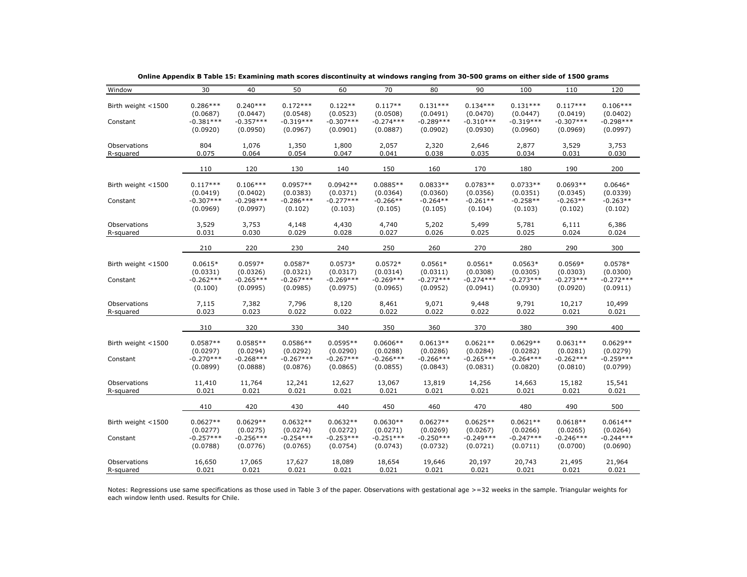| Window             | 30          | 40          | 50          | 60          | 70          | 80          | 90          | 100         | 110         | 120         |
|--------------------|-------------|-------------|-------------|-------------|-------------|-------------|-------------|-------------|-------------|-------------|
|                    |             |             |             |             |             |             |             |             |             |             |
| Birth weight <1500 | $0.286***$  | $0.240***$  | $0.172***$  | $0.122**$   | $0.117**$   | $0.131***$  | $0.134***$  | $0.131***$  | $0.117***$  | $0.106***$  |
|                    | (0.0687)    | (0.0447)    | (0.0548)    | (0.0523)    | (0.0508)    | (0.0491)    | (0.0470)    | (0.0447)    | (0.0419)    | (0.0402)    |
| Constant           | $-0.381***$ | $-0.357***$ | $-0.319***$ | $-0.307***$ | $-0.274***$ | $-0.289***$ | $-0.310***$ | $-0.319***$ | $-0.307***$ | $-0.298***$ |
|                    | (0.0920)    | (0.0950)    | (0.0967)    | (0.0901)    | (0.0887)    | (0.0902)    | (0.0930)    | (0.0960)    | (0.0969)    | (0.0997)    |
| Observations       | 804         | 1,076       | 1,350       | 1,800       | 2,057       | 2,320       | 2,646       | 2,877       | 3,529       | 3,753       |
| R-squared          | 0.075       | 0.064       | 0.054       | 0.047       | 0.041       | 0.038       | 0.035       | 0.034       | 0.031       | 0.030       |
|                    |             |             |             |             |             |             |             |             |             |             |
|                    | 110         | 120         | 130         | 140         | 150         | 160         | 170         | 180         | 190         | 200         |
|                    |             |             |             |             |             |             |             |             |             |             |
| Birth weight <1500 | $0.117***$  | $0.106***$  | $0.0957**$  | $0.0942**$  | $0.0885**$  | $0.0833**$  | $0.0783**$  | $0.0733**$  | $0.0693**$  | $0.0646*$   |
|                    | (0.0419)    | (0.0402)    | (0.0383)    | (0.0371)    | (0.0364)    | (0.0360)    | (0.0356)    | (0.0351)    | (0.0345)    | (0.0339)    |
| Constant           | $-0.307***$ | $-0.298***$ | $-0.286***$ | $-0.277***$ | $-0.266**$  | $-0.264**$  | $-0.261**$  | $-0.258**$  | $-0.263**$  | $-0.263**$  |
|                    | (0.0969)    | (0.0997)    | (0.102)     | (0.103)     | (0.105)     | (0.105)     | (0.104)     | (0.103)     | (0.102)     | (0.102)     |
| Observations       | 3,529       | 3,753       | 4,148       | 4,430       | 4,740       | 5,202       | 5,499       | 5,781       | 6,111       | 6,386       |
| R-squared          | 0.031       | 0.030       | 0.029       | 0.028       | 0.027       | 0.026       | 0.025       | 0.025       | 0.024       | 0.024       |
|                    |             |             |             |             |             |             |             |             |             |             |
|                    | 210         | 220         | 230         | 240         | 250         | 260         | 270         | 280         | 290         | 300         |
|                    |             |             |             |             |             |             |             |             |             |             |
| Birth weight <1500 | $0.0615*$   | $0.0597*$   | $0.0587*$   | $0.0573*$   | $0.0572*$   | $0.0561*$   | $0.0561*$   | $0.0563*$   | $0.0569*$   | $0.0578*$   |
|                    | (0.0331)    | (0.0326)    | (0.0321)    | (0.0317)    | (0.0314)    | (0.0311)    | (0.0308)    | (0.0305)    | (0.0303)    | (0.0300)    |
| Constant           | $-0.262***$ | $-0.265***$ | $-0.267***$ | $-0.269***$ | $-0.269***$ | $-0.272***$ | $-0.274***$ | $-0.273***$ | $-0.273***$ | $-0.272***$ |
|                    | (0.100)     | (0.0995)    | (0.0985)    | (0.0975)    | (0.0965)    | (0.0952)    | (0.0941)    | (0.0930)    | (0.0920)    | (0.0911)    |
| Observations       | 7,115       | 7,382       | 7,796       | 8,120       | 8,461       | 9,071       | 9,448       | 9,791       | 10,217      | 10,499      |
| R-squared          | 0.023       | 0.023       | 0.022       | 0.022       | 0.022       | 0.022       | 0.022       | 0.022       | 0.021       | 0.021       |
|                    |             |             |             |             |             |             |             |             |             |             |
|                    | 310         | 320         | 330         | 340         | 350         | 360         | 370         | 380         | 390         | 400         |
| Birth weight <1500 | $0.0587**$  | $0.0585**$  | $0.0586**$  | $0.0595**$  | $0.0606**$  | $0.0613**$  | $0.0621**$  | $0.0629**$  | $0.0631**$  | $0.0629**$  |
|                    |             |             |             |             |             |             |             |             |             |             |
|                    | (0.0297)    | (0.0294)    | (0.0292)    | (0.0290)    | (0.0288)    | (0.0286)    | (0.0284)    | (0.0282)    | (0.0281)    | (0.0279)    |
| Constant           | $-0.270***$ | $-0.268***$ | $-0.267***$ | $-0.267***$ | $-0.266***$ | $-0.266***$ | $-0.265***$ | $-0.264***$ | $-0.262***$ | $-0.259***$ |
|                    | (0.0899)    | (0.0888)    | (0.0876)    | (0.0865)    | (0.0855)    | (0.0843)    | (0.0831)    | (0.0820)    | (0.0810)    | (0.0799)    |
| Observations       | 11,410      | 11,764      | 12,241      | 12,627      | 13,067      | 13,819      | 14,256      | 14,663      | 15,182      | 15,541      |
| R-squared          | 0.021       | 0.021       | 0.021       | 0.021       | 0.021       | 0.021       | 0.021       | 0.021       | 0.021       | 0.021       |
|                    | 410         | 420         | 430         | 440         | 450         | 460         | 470         | 480         | 490         | 500         |
|                    |             |             |             |             |             |             |             |             |             |             |
| Birth weight <1500 | $0.0627**$  | $0.0629**$  | $0.0632**$  | $0.0632**$  | $0.0630**$  | $0.0627**$  | $0.0625**$  | $0.0621**$  | $0.0618**$  | $0.0614**$  |
|                    | (0.0277)    | (0.0275)    | (0.0274)    | (0.0272)    | (0.0271)    | (0.0269)    | (0.0267)    | (0.0266)    | (0.0265)    | (0.0264)    |
| Constant           | $-0.257***$ | $-0.256***$ | $-0.254***$ | $-0.253***$ | $-0.251***$ | $-0.250***$ | $-0.249***$ | $-0.247***$ | $-0.246***$ | $-0.244***$ |
|                    | (0.0788)    | (0.0776)    | (0.0765)    | (0.0754)    | (0.0743)    | (0.0732)    | (0.0721)    | (0.0711)    | (0.0700)    | (0.0690)    |
| Observations       | 16,650      | 17,065      | 17,627      | 18,089      | 18,654      | 19,646      | 20,197      | 20,743      | 21,495      | 21,964      |
|                    |             |             |             |             |             |             |             |             |             | 0.021       |
| R-squared          | 0.021       | 0.021       | 0.021       | 0.021       | 0.021       | 0.021       | 0.021       | 0.021       | 0.021       |             |

**Online Appendix B Table 15: Examining math scores discontinuity at windows ranging from 30-500 grams on either side of 1500 grams**

Notes: Regressions use same specifications as those used in Table 3 of the paper. Observations with gestational age >=32 weeks in the sample. Triangular weights for each window lenth used. Results for Chile.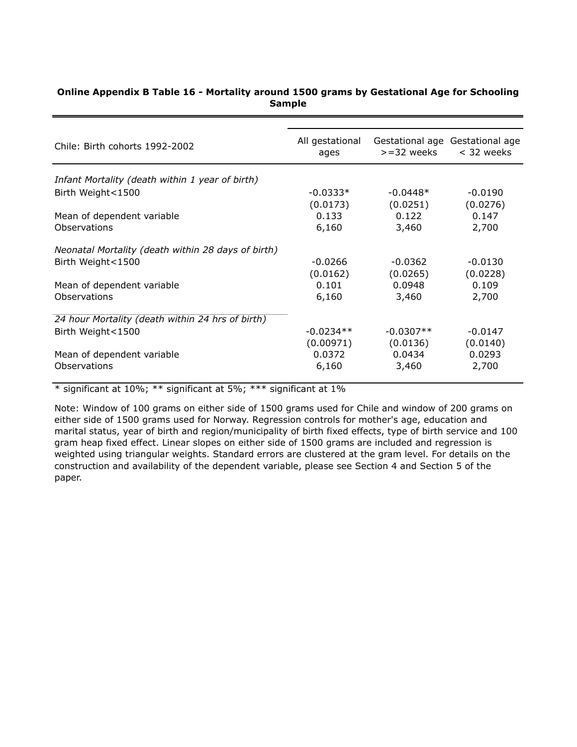| Chile: Birth cohorts 1992-2002                     | All gestational<br>ages | $>=$ 32 weeks | Gestational age Gestational age<br>< 32 weeks |  |
|----------------------------------------------------|-------------------------|---------------|-----------------------------------------------|--|
| Infant Mortality (death within 1 year of birth)    |                         |               |                                               |  |
| Birth Weight<1500                                  | $-0.0333*$              | $-0.0448*$    | $-0.0190$                                     |  |
|                                                    | (0.0173)                | (0.0251)      | (0.0276)                                      |  |
| Mean of dependent variable                         | 0.133                   | 0.122         | 0.147                                         |  |
| Observations                                       | 6,160                   | 3,460         | 2,700                                         |  |
| Neonatal Mortality (death within 28 days of birth) |                         |               |                                               |  |
| Birth Weight<1500                                  | $-0.0266$               | $-0.0362$     | $-0.0130$                                     |  |
|                                                    | (0.0162)                | (0.0265)      | (0.0228)                                      |  |
| Mean of dependent variable                         | 0.101                   | 0.0948        | 0.109                                         |  |
| Observations                                       | 6,160                   | 3,460         | 2,700                                         |  |
| 24 hour Mortality (death within 24 hrs of birth)   |                         |               |                                               |  |
| Birth Weight<1500                                  | $-0.0234**$             | $-0.0307**$   | $-0.0147$                                     |  |
|                                                    | (0.00971)               | (0.0136)      | (0.0140)                                      |  |
| Mean of dependent variable                         | 0.0372                  | 0.0434        | 0.0293                                        |  |
| <b>Observations</b>                                | 6,160                   | 3,460         | 2,700                                         |  |

## **Online Appendix B Table 16 - Mortality around 1500 grams by Gestational Age for Schooling Sample**

\* significant at 10%; \*\* significant at 5%; \*\*\* significant at 1%

Note: Window of 100 grams on either side of 1500 grams used for Chile and window of 200 grams on either side of 1500 grams used for Norway. Regression controls for mother's age, education and marital status, year of birth and region/municipality of birth fixed effects, type of birth service and 100 gram heap fixed effect. Linear slopes on either side of 1500 grams are included and regression is weighted using triangular weights. Standard errors are clustered at the gram level. For details on the construction and availability of the dependent variable, please see Section 4 and Section 5 of the paper.